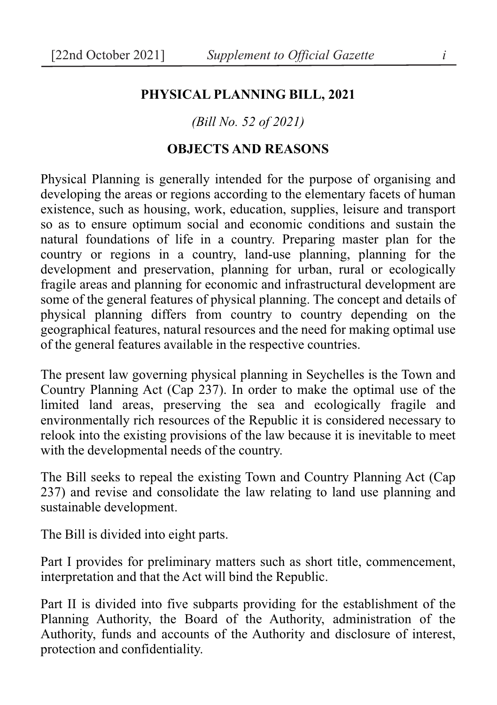#### **PHYSICAL PLANNING BILL, 2021**

#### *(Bill No. 52 of 2021)*

#### **OBJECTS AND REASONS**

Physical Planning is generally intended for the purpose of organising and developing the areas or regions according to the elementary facets of human existence, such as housing, work, education, supplies, leisure and transport so as to ensure optimum social and economic conditions and sustain the natural foundations of life in a country. Preparing master plan for the country or regions in a country, land-use planning, planning for the development and preservation, planning for urban, rural or ecologically fragile areas and planning for economic and infrastructural development are some of the general features of physical planning. The concept and details of physical planning differs from country to country depending on the geographical features, natural resources and the need for making optimal use of the general features available in the respective countries.

The present law governing physical planning in Seychelles is the Town and Country Planning Act (Cap 237). In order to make the optimal use of the limited land areas, preserving the sea and ecologically fragile and environmentally rich resources of the Republic it is considered necessary to relook into the existing provisions of the law because it is inevitable to meet with the developmental needs of the country.

The Bill seeks to repeal the existing Town and Country Planning Act (Cap 237) and revise and consolidate the law relating to land use planning and sustainable development.

The Bill is divided into eight parts.

Part I provides for preliminary matters such as short title, commencement, interpretation and that the Act will bind the Republic.

Part II is divided into five subparts providing for the establishment of the Planning Authority, the Board of the Authority, administration of the Authority, funds and accounts of the Authority and disclosure of interest, protection and confidentiality.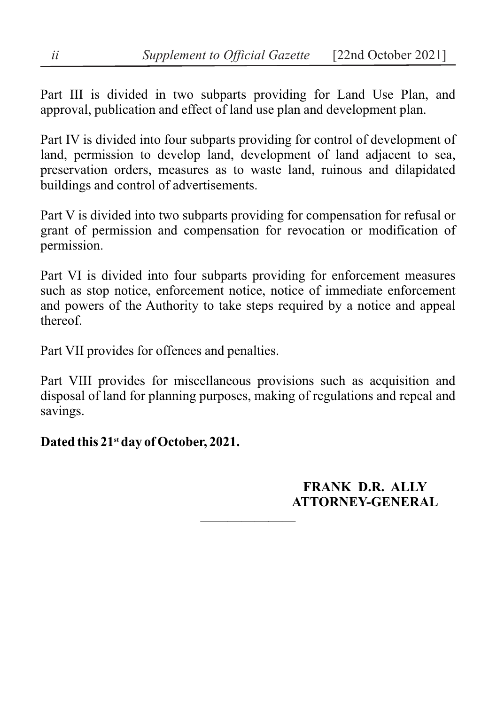Part III is divided in two subparts providing for Land Use Plan, and approval, publication and effect of land use plan and development plan.

Part IV is divided into four subparts providing for control of development of land, permission to develop land, development of land adjacent to sea, preservation orders, measures as to waste land, ruinous and dilapidated buildings and control of advertisements.

Part V is divided into two subparts providing for compensation for refusal or grant of permission and compensation for revocation or modification of permission.

Part VI is divided into four subparts providing for enforcement measures such as stop notice, enforcement notice, notice of immediate enforcement and powers of the Authority to take steps required by a notice and appeal thereof.

Part VII provides for offences and penalties.

Part VIII provides for miscellaneous provisions such as acquisition and disposal of land for planning purposes, making of regulations and repeal and savings.

———————

## **Dated this 21st day of October, 2021.**

**FRANK D.R. ALLY ATTORNEY-GENERAL**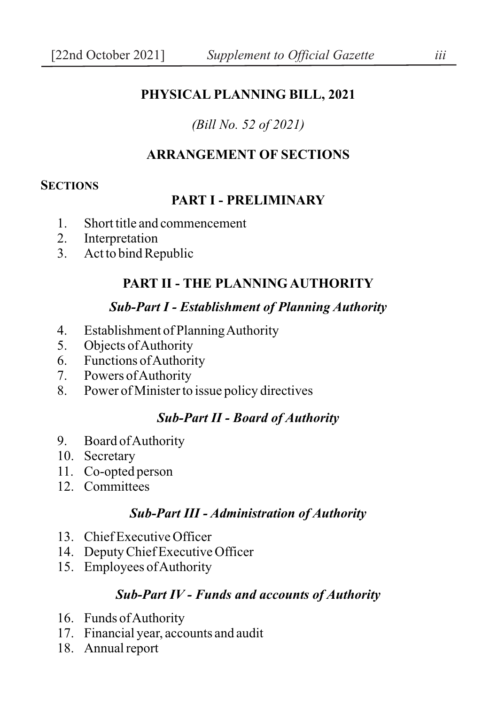### **PHYSICAL PLANNING BILL, 2021**

### *(Bill No. 52 of 2021)*

### **ARRANGEMENT OF SECTIONS**

#### **SECTIONS**

#### **PART I - PRELIMINARY**

- 1. Short title and commencement
- 2. Interpretation
- 3. Act to bind Republic

### **PART II - THE PLANNING AUTHORITY**

### *Sub-Part I - Establishment of Planning Authority*

- 4. Establishment of Planning Authority
- 5. Objects of Authority
- 6. Functions of Authority
- 7. Powers of Authority<br>8 Power of Minister to
- Power of Minister to issue policy directives

#### *Sub-Part II - Board of Authority*

- 9. Board of Authority
- 10. Secretary
- 11. Co-opted person
- 12. Committees

#### *Sub-Part III - Administration of Authority*

- 13. Chief Executive Officer
- 14. Deputy Chief Executive Officer
- 15. Employees of Authority

#### *Sub-Part IV - Funds and accounts of Authority*

- 16. Funds of Authority
- 17. Financial year, accounts and audit
- 18. Annual report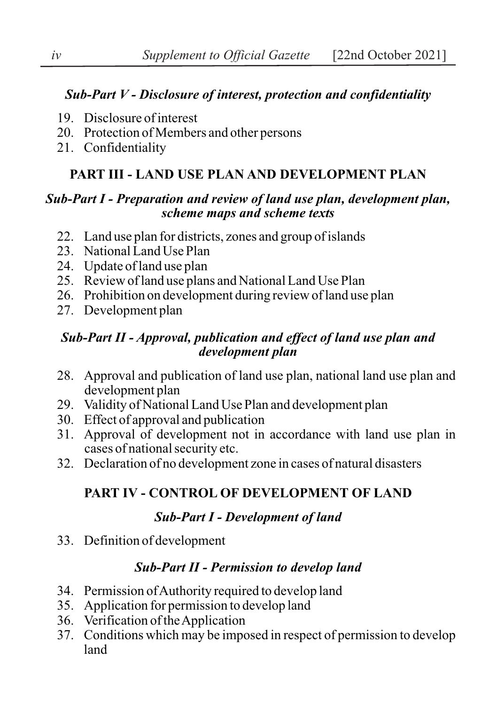## *Sub-Part V - Disclosure of interest, protection and confidentiality*

- 19. Disclosure of interest
- 20. Protection of Members and other persons
- 21. Confidentiality

### **PART III - LAND USE PLAN AND DEVELOPMENT PLAN**

### *Sub-Part I - Preparation and review of land use plan, development plan, scheme maps and scheme texts*

- 22. Land use plan for districts, zones and group of islands
- 23. National Land Use Plan
- 24. Update of land use plan
- 25. Review of land use plans and National Land Use Plan
- 26. Prohibition on development during review of land use plan
- 27. Development plan

### *Sub-Part II - Approval, publication and effect of land use plan and development plan*

- 28. Approval and publication of land use plan, national land use plan and development plan
- 29. Validity of National Land Use Plan and development plan
- 30. Effect of approval and publication
- 31. Approval of development not in accordance with land use plan in cases of national security etc.
- 32. Declaration of no development zone in cases of natural disasters

## **PART IV - CONTROL OF DEVELOPMENT OF LAND**

### *Sub-Part I - Development of land*

33. Definition of development

## *Sub-Part II - Permission to develop land*

- 34. Permission of Authority required to develop land
- 35. Application for permission to develop land
- 36. Verification of the Application
- 37. Conditions which may be imposed in respect of permission to develop land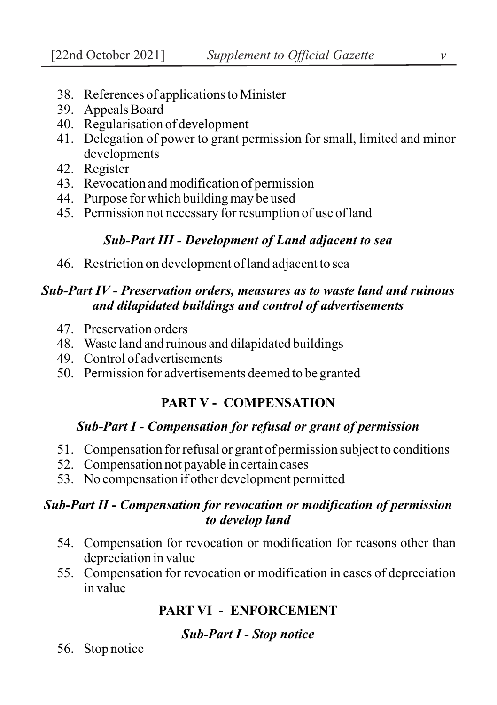- 38. References of applications to Minister
- 39. Appeals Board
- 40. Regularisation of development
- 41. Delegation of power to grant permission for small, limited and minor developments
- 42. Register
- 43. Revocation and modification of permission
- 44. Purpose for which building may be used
- 45. Permission not necessary for resumption of use of land

## *Sub-Part III - Development of Land adjacent to sea*

46. Restriction on development of land adjacent to sea

## *Sub-Part IV - Preservation orders, measures as to waste land and ruinous and dilapidated buildings and control of advertisements*

- 47. Preservation orders
- 48. Waste land and ruinous and dilapidated buildings
- 49. Control of advertisements
- 50. Permission for advertisements deemed to be granted

## **PART V - COMPENSATION**

### *Sub-Part I - Compensation for refusal or grant of permission*

- 51. Compensation for refusal or grant of permission subject to conditions
- 52. Compensation not payable in certain cases
- 53. No compensation if other development permitted

### *Sub-Part II - Compensation for revocation or modification of permission to develop land*

- 54. Compensation for revocation or modification for reasons other than depreciation in value
- 55. Compensation for revocation or modification in cases of depreciation in value

# **PART VI - ENFORCEMENT**

## *Sub-Part I - Stop notice*

56. Stop notice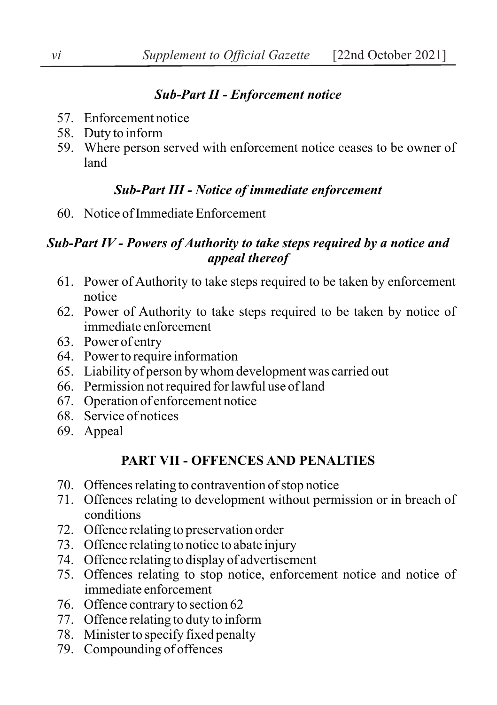## *Sub-Part II - Enforcement notice*

- 57. Enforcement notice
- 58. Duty to inform
- 59. Where person served with enforcement notice ceases to be owner of land

# *Sub-Part III - Notice of immediate enforcement*

60. Notice of Immediate Enforcement

# *Sub-Part IV - Powers of Authority to take steps required by a notice and appeal thereof*

- 61. Power of Authority to take steps required to be taken by enforcement notice
- 62. Power of Authority to take steps required to be taken by notice of immediate enforcement
- 63. Power of entry
- 64. Power to require information
- 65. Liability of person by whom development was carried out
- 66. Permission not required for lawful use of land
- 67. Operation of enforcement notice
- 68. Service of notices
- 69. Appeal

# **PART VII - OFFENCES AND PENALTIES**

- 70. Offences relating to contravention of stop notice
- 71. Offences relating to development without permission or in breach of conditions
- 72. Offence relating to preservation order
- 73. Offence relating to notice to abate injury
- 74. Offence relating to display of advertisement
- 75. Offences relating to stop notice, enforcement notice and notice of immediate enforcement
- 76. Offence contrary to section 62
- 77. Offence relating to duty to inform
- 78. Minister to specify fixed penalty
- 79. Compounding of offences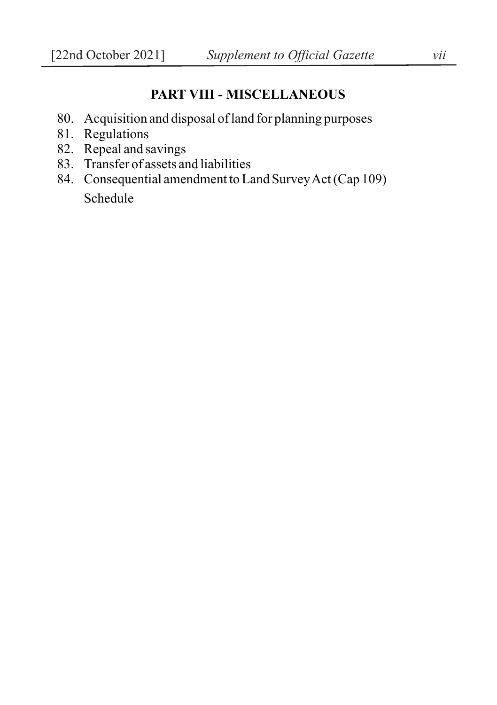# **PART VIII - MISCELLANEOUS**

- 80. Acquisition and disposal of land for planning purposes
- 81. Regulations
- 82. Repeal and savings
- 83. Transfer of assets and liabilities
- 84. Consequential amendment to Land Survey Act (Cap 109) Schedule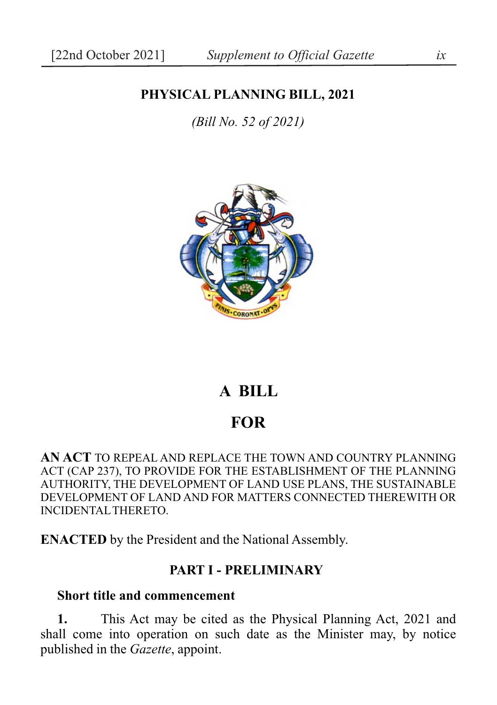## **PHYSICAL PLANNING BILL, 2021**

*(Bill No. 52 of 2021)*



# **A BILL**

## **FOR**

**AN ACT** TO REPEAL AND REPLACE THE TOWN AND COUNTRY PLANNING ACT (CAP 237), TO PROVIDE FOR THE ESTABLISHMENT OF THE PLANNING AUTHORITY, THE DEVELOPMENT OF LAND USE PLANS, THE SUSTAINABLE DEVELOPMENT OF LAND AND FOR MATTERS CONNECTED THEREWITH OR INCIDENTAL THERETO.

**ENACTED** by the President and the National Assembly.

#### **PART I - PRELIMINARY**

#### **Short title and commencement**

**1.** This Act may be cited as the Physical Planning Act, 2021 and shall come into operation on such date as the Minister may, by notice published in the *Gazette*, appoint.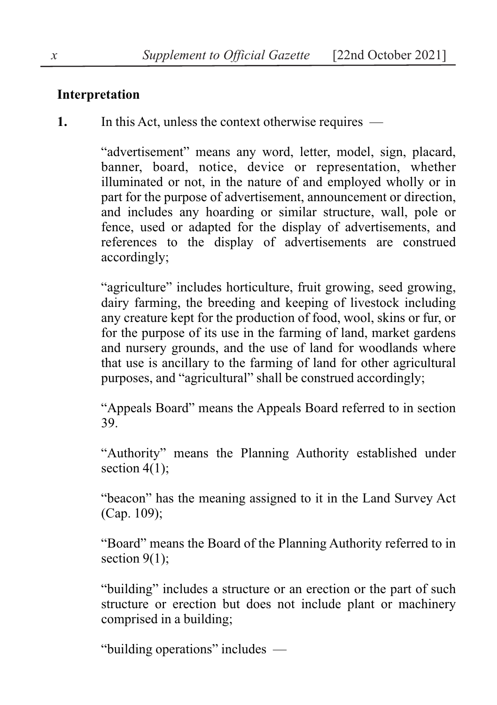### **Interpretation**

**1.** In this Act, unless the context otherwise requires —

"advertisement" means any word, letter, model, sign, placard, banner, board, notice, device or representation, whether illuminated or not, in the nature of and employed wholly or in part for the purpose of advertisement, announcement or direction, and includes any hoarding or similar structure, wall, pole or fence, used or adapted for the display of advertisements, and references to the display of advertisements are construed accordingly;

"agriculture" includes horticulture, fruit growing, seed growing, dairy farming, the breeding and keeping of livestock including any creature kept for the production of food, wool, skins or fur, or for the purpose of its use in the farming of land, market gardens and nursery grounds, and the use of land for woodlands where that use is ancillary to the farming of land for other agricultural purposes, and "agricultural" shall be construed accordingly;

"Appeals Board" means the Appeals Board referred to in section 39.

"Authority" means the Planning Authority established under section 4(1):

"beacon" has the meaning assigned to it in the Land Survey Act (Cap. 109);

"Board" means the Board of the Planning Authority referred to in section 9(1);

"building" includes a structure or an erection or the part of such structure or erection but does not include plant or machinery comprised in a building;

"building operations" includes —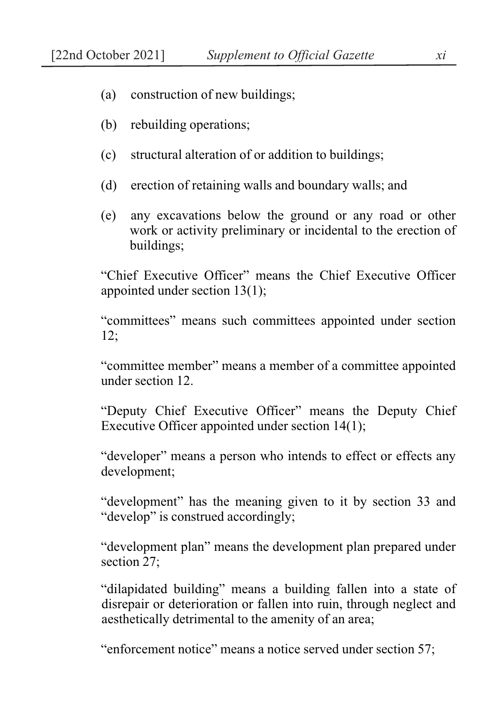- (a) construction of new buildings;
- (b) rebuilding operations;
- (c) structural alteration of or addition to buildings;
- (d) erection of retaining walls and boundary walls; and
- (e) any excavations below the ground or any road or other work or activity preliminary or incidental to the erection of buildings;

"Chief Executive Officer" means the Chief Executive Officer appointed under section 13(1);

"committees" means such committees appointed under section  $12:$ 

"committee member" means a member of a committee appointed under section 12.

"Deputy Chief Executive Officer" means the Deputy Chief Executive Officer appointed under section 14(1);

"developer" means a person who intends to effect or effects any development;

"development" has the meaning given to it by section 33 and "develop" is construed accordingly;

"development plan" means the development plan prepared under section 27:

"dilapidated building" means a building fallen into a state of disrepair or deterioration or fallen into ruin, through neglect and aesthetically detrimental to the amenity of an area;

"enforcement notice" means a notice served under section 57;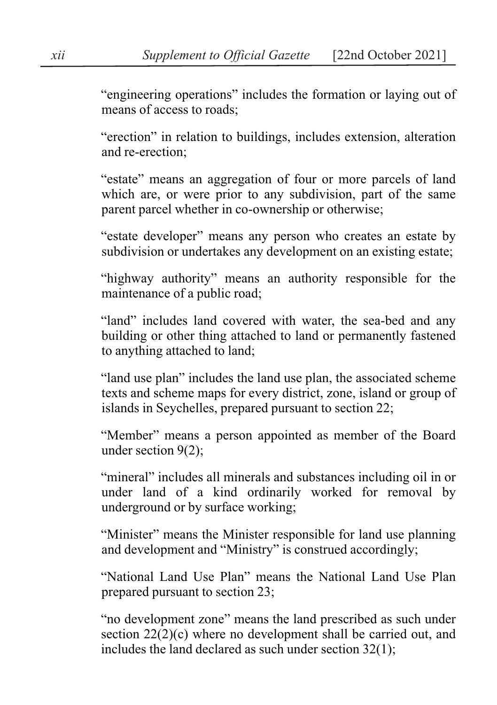"engineering operations" includes the formation or laying out of means of access to roads;

"erection" in relation to buildings, includes extension, alteration and re-erection;

"estate" means an aggregation of four or more parcels of land which are, or were prior to any subdivision, part of the same parent parcel whether in co-ownership or otherwise;

"estate developer" means any person who creates an estate by subdivision or undertakes any development on an existing estate;

"highway authority" means an authority responsible for the maintenance of a public road;

"land" includes land covered with water, the sea-bed and any building or other thing attached to land or permanently fastened to anything attached to land;

"land use plan" includes the land use plan, the associated scheme texts and scheme maps for every district, zone, island or group of islands in Seychelles, prepared pursuant to section 22;

"Member" means a person appointed as member of the Board under section 9(2);

"mineral" includes all minerals and substances including oil in or under land of a kind ordinarily worked for removal by underground or by surface working;

"Minister" means the Minister responsible for land use planning and development and "Ministry" is construed accordingly;

"National Land Use Plan" means the National Land Use Plan prepared pursuant to section 23;

"no development zone" means the land prescribed as such under section 22(2)(c) where no development shall be carried out, and includes the land declared as such under section 32(1);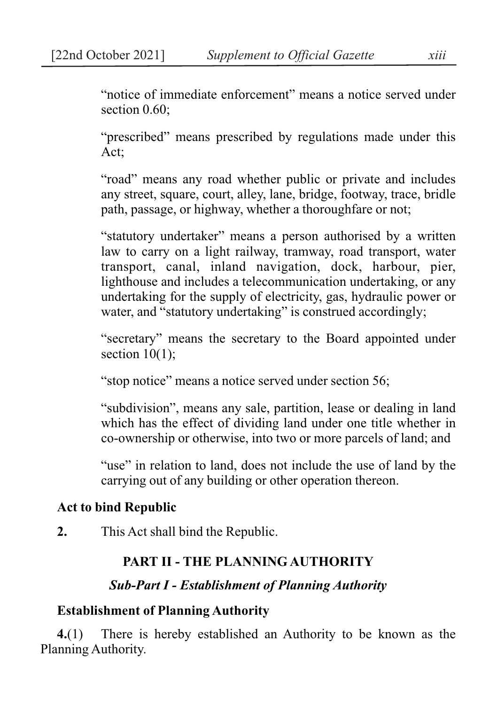"notice of immediate enforcement" means a notice served under section  $0.60$ :

"prescribed" means prescribed by regulations made under this Act;

"road" means any road whether public or private and includes any street, square, court, alley, lane, bridge, footway, trace, bridle path, passage, or highway, whether a thoroughfare or not;

"statutory undertaker" means a person authorised by a written law to carry on a light railway, tramway, road transport, water transport, canal, inland navigation, dock, harbour, pier, lighthouse and includes a telecommunication undertaking, or any undertaking for the supply of electricity, gas, hydraulic power or water, and "statutory undertaking" is construed accordingly;

"secretary" means the secretary to the Board appointed under section  $10(1)$ :

"stop notice" means a notice served under section 56;

"subdivision", means any sale, partition, lease or dealing in land which has the effect of dividing land under one title whether in co-ownership or otherwise, into two or more parcels of land; and

"use" in relation to land, does not include the use of land by the carrying out of any building or other operation thereon.

### **Act to bind Republic**

**2.** This Act shall bind the Republic.

## **PART II - THE PLANNING AUTHORITY**

## *Sub-Part I - Establishment of Planning Authority*

## **Establishment of Planning Authority**

**4.**(1) There is hereby established an Authority to be known as the Planning Authority.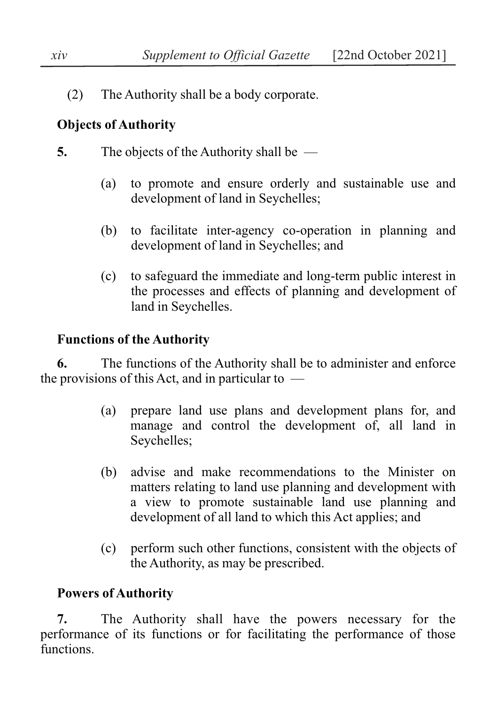(2) The Authority shall be a body corporate.

# **Objects of Authority**

- **5.** The objects of the Authority shall be
	- (a) to promote and ensure orderly and sustainable use and development of land in Seychelles;
	- (b) to facilitate inter-agency co-operation in planning and development of land in Seychelles; and
	- (c) to safeguard the immediate and long-term public interest in the processes and effects of planning and development of land in Seychelles.

# **Functions of the Authority**

**6.** The functions of the Authority shall be to administer and enforce the provisions of this Act, and in particular to  $-$ 

- (a) prepare land use plans and development plans for, and manage and control the development of, all land in Seychelles;
- (b) advise and make recommendations to the Minister on matters relating to land use planning and development with a view to promote sustainable land use planning and development of all land to which this Act applies; and
- (c) perform such other functions, consistent with the objects of the Authority, as may be prescribed.

# **Powers of Authority**

**7.** The Authority shall have the powers necessary for the performance of its functions or for facilitating the performance of those functions.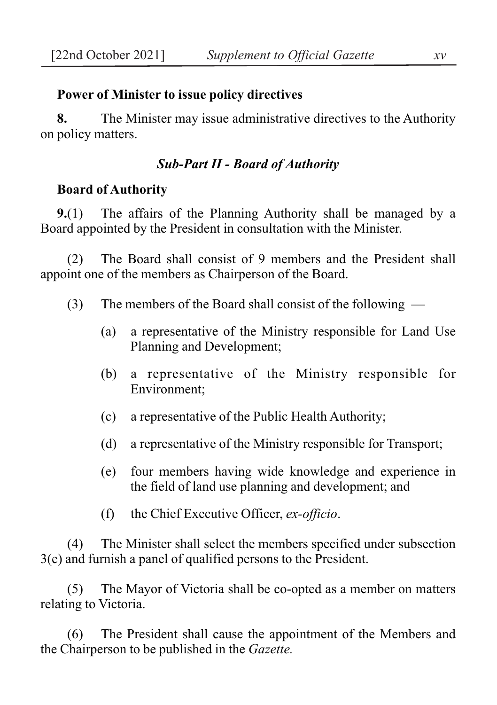### **Power of Minister to issue policy directives**

**8.** The Minister may issue administrative directives to the Authority on policy matters.

### *Sub-Part II - Board of Authority*

### **Board of Authority**

**9.**(1) The affairs of the Planning Authority shall be managed by a Board appointed by the President in consultation with the Minister.

(2) The Board shall consist of 9 members and the President shall appoint one of the members as Chairperson of the Board.

- (3) The members of the Board shall consist of the following
	- (a) a representative of the Ministry responsible for Land Use Planning and Development;
	- (b) a representative of the Ministry responsible for Environment;
	- (c) a representative of the Public Health Authority;
	- (d) a representative of the Ministry responsible for Transport;
	- (e) four members having wide knowledge and experience in the field of land use planning and development; and
	- (f) the Chief Executive Officer, *ex-officio*.

(4) The Minister shall select the members specified under subsection 3(e) and furnish a panel of qualified persons to the President.

(5) The Mayor of Victoria shall be co-opted as a member on matters relating to Victoria.

(6) The President shall cause the appointment of the Members and the Chairperson to be published in the *Gazette.*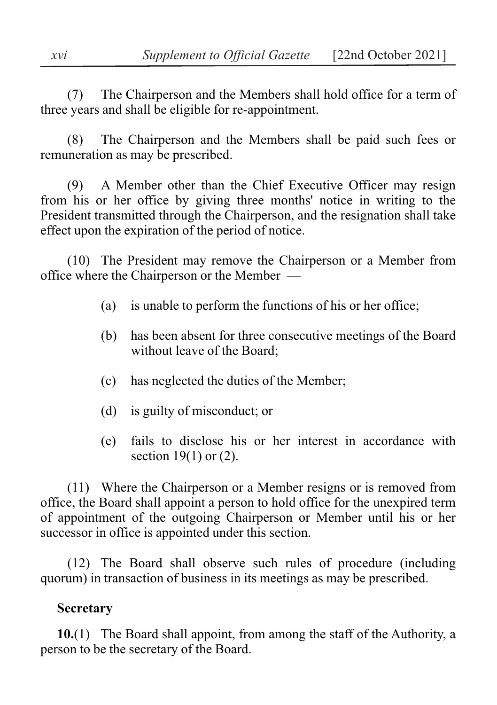(7) The Chairperson and the Members shall hold office for a term of three years and shall be eligible for re-appointment.

(8) The Chairperson and the Members shall be paid such fees or remuneration as may be prescribed.

(9) A Member other than the Chief Executive Officer may resign from his or her office by giving three months' notice in writing to the President transmitted through the Chairperson, and the resignation shall take effect upon the expiration of the period of notice.

(10) The President may remove the Chairperson or a Member from office where the Chairperson or the Member —

- (a) is unable to perform the functions of his or her office;
- (b) has been absent for three consecutive meetings of the Board without leave of the Board;
- (c) has neglected the duties of the Member;
- (d) is guilty of misconduct; or
- (e) fails to disclose his or her interest in accordance with section 19(1) or (2).

(11) Where the Chairperson or a Member resigns or is removed from office, the Board shall appoint a person to hold office for the unexpired term of appointment of the outgoing Chairperson or Member until his or her successor in office is appointed under this section.

(12) The Board shall observe such rules of procedure (including quorum) in transaction of business in its meetings as may be prescribed.

# **Secretary**

**10.**(1) The Board shall appoint, from among the staff of the Authority, a person to be the secretary of the Board.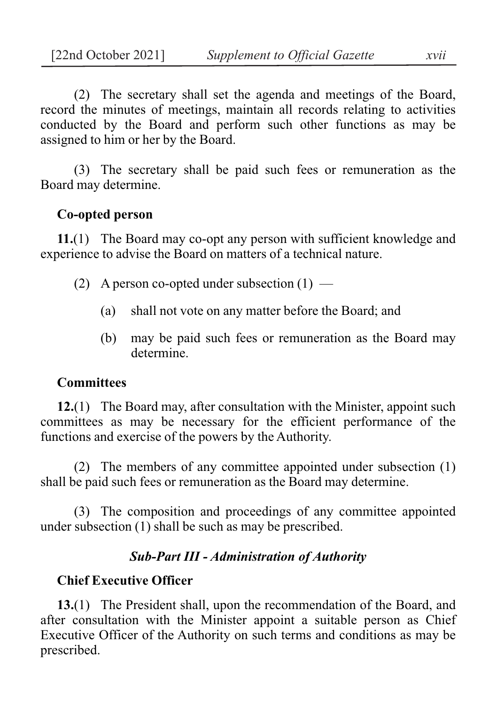(2) The secretary shall set the agenda and meetings of the Board, record the minutes of meetings, maintain all records relating to activities conducted by the Board and perform such other functions as may be assigned to him or her by the Board.

(3) The secretary shall be paid such fees or remuneration as the Board may determine.

### **Co-opted person**

**11.**(1) The Board may co-opt any person with sufficient knowledge and experience to advise the Board on matters of a technical nature.

- (2) A person co-opted under subsection  $(1)$ 
	- (a) shall not vote on any matter before the Board; and
	- (b) may be paid such fees or remuneration as the Board may determine.

### **Committees**

**12.**(1) The Board may, after consultation with the Minister, appoint such committees as may be necessary for the efficient performance of the functions and exercise of the powers by the Authority.

(2) The members of any committee appointed under subsection (1) shall be paid such fees or remuneration as the Board may determine.

(3) The composition and proceedings of any committee appointed under subsection (1) shall be such as may be prescribed.

#### *Sub-Part III - Administration of Authority*

#### **Chief Executive Officer**

**13.**(1) The President shall, upon the recommendation of the Board, and after consultation with the Minister appoint a suitable person as Chief Executive Officer of the Authority on such terms and conditions as may be prescribed.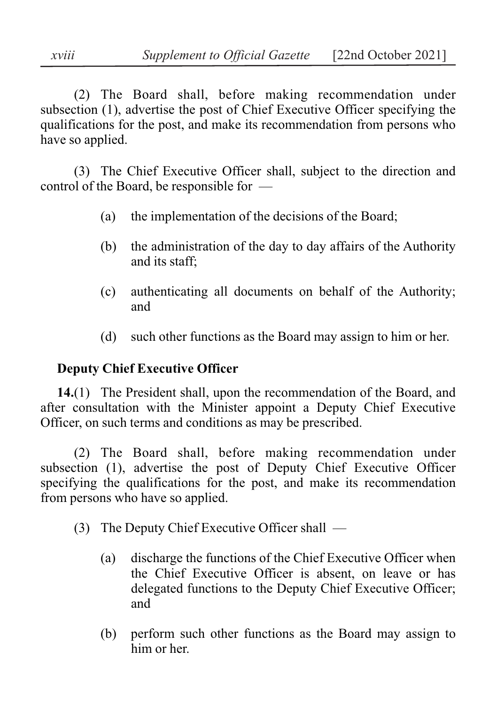(2) The Board shall, before making recommendation under subsection (1), advertise the post of Chief Executive Officer specifying the qualifications for the post, and make its recommendation from persons who have so applied.

(3) The Chief Executive Officer shall, subject to the direction and control of the Board, be responsible for —

- (a) the implementation of the decisions of the Board;
- (b) the administration of the day to day affairs of the Authority and its staff;
- (c) authenticating all documents on behalf of the Authority; and
- (d) such other functions as the Board may assign to him or her.

## **Deputy Chief Executive Officer**

**14.**(1) The President shall, upon the recommendation of the Board, and after consultation with the Minister appoint a Deputy Chief Executive Officer, on such terms and conditions as may be prescribed.

(2) The Board shall, before making recommendation under subsection (1), advertise the post of Deputy Chief Executive Officer specifying the qualifications for the post, and make its recommendation from persons who have so applied.

- (3) The Deputy Chief Executive Officer shall
	- (a) discharge the functions of the Chief Executive Officer when the Chief Executive Officer is absent, on leave or has delegated functions to the Deputy Chief Executive Officer; and
	- (b) perform such other functions as the Board may assign to him or her.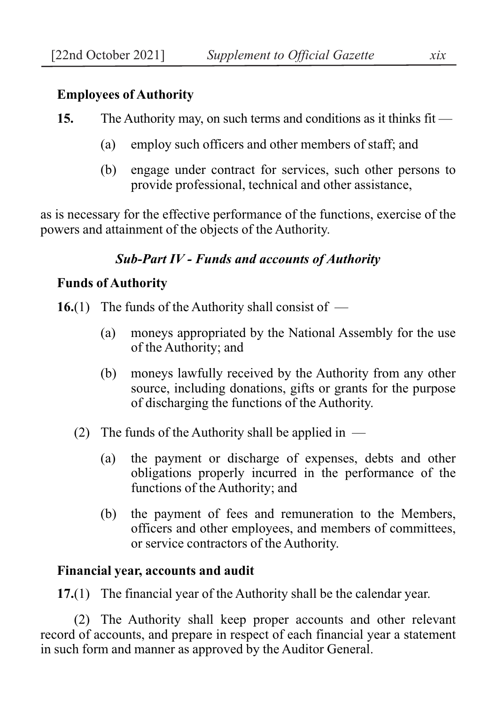### **Employees of Authority**

- **15.** The Authority may, on such terms and conditions as it thinks fit
	- (a) employ such officers and other members of staff; and
	- (b) engage under contract for services, such other persons to provide professional, technical and other assistance,

as is necessary for the effective performance of the functions, exercise of the powers and attainment of the objects of the Authority.

## *Sub-Part IV - Funds and accounts of Authority*

### **Funds of Authority**

- **16.**(1) The funds of the Authority shall consist of
	- (a) moneys appropriated by the National Assembly for the use of the Authority; and
	- (b) moneys lawfully received by the Authority from any other source, including donations, gifts or grants for the purpose of discharging the functions of the Authority.
	- (2) The funds of the Authority shall be applied in  $-$ 
		- (a) the payment or discharge of expenses, debts and other obligations properly incurred in the performance of the functions of the Authority; and
		- (b) the payment of fees and remuneration to the Members, officers and other employees, and members of committees, or service contractors of the Authority.

### **Financial year, accounts and audit**

**17.**(1) The financial year of the Authority shall be the calendar year.

(2) The Authority shall keep proper accounts and other relevant record of accounts, and prepare in respect of each financial year a statement in such form and manner as approved by the Auditor General.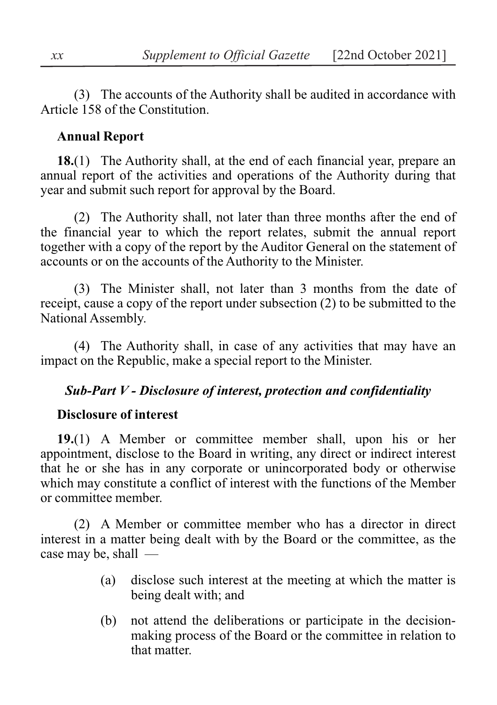(3) The accounts of the Authority shall be audited in accordance with Article 158 of the Constitution.

### **Annual Report**

**18.**(1) The Authority shall, at the end of each financial year, prepare an annual report of the activities and operations of the Authority during that year and submit such report for approval by the Board.

(2) The Authority shall, not later than three months after the end of the financial year to which the report relates, submit the annual report together with a copy of the report by the Auditor General on the statement of accounts or on the accounts of the Authority to the Minister.

(3) The Minister shall, not later than 3 months from the date of receipt, cause a copy of the report under subsection (2) to be submitted to the National Assembly.

(4) The Authority shall, in case of any activities that may have an impact on the Republic, make a special report to the Minister.

### *Sub-Part V - Disclosure of interest, protection and confidentiality*

#### **Disclosure of interest**

**19.**(1) A Member or committee member shall, upon his or her appointment, disclose to the Board in writing, any direct or indirect interest that he or she has in any corporate or unincorporated body or otherwise which may constitute a conflict of interest with the functions of the Member or committee member.

(2) A Member or committee member who has a director in direct interest in a matter being dealt with by the Board or the committee, as the case may be, shall —

- (a) disclose such interest at the meeting at which the matter is being dealt with; and
- (b) not attend the deliberations or participate in the decisionmaking process of the Board or the committee in relation to that matter.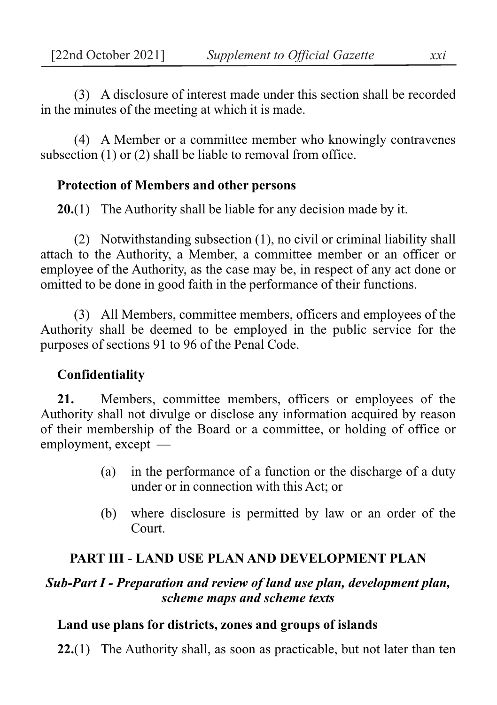(3) A disclosure of interest made under this section shall be recorded in the minutes of the meeting at which it is made.

(4) A Member or a committee member who knowingly contravenes subsection (1) or (2) shall be liable to removal from office.

## **Protection of Members and other persons**

**20.**(1) The Authority shall be liable for any decision made by it.

(2) Notwithstanding subsection (1), no civil or criminal liability shall attach to the Authority, a Member, a committee member or an officer or employee of the Authority, as the case may be, in respect of any act done or omitted to be done in good faith in the performance of their functions.

(3) All Members, committee members, officers and employees of the Authority shall be deemed to be employed in the public service for the purposes of sections 91 to 96 of the Penal Code.

# **Confidentiality**

**21.** Members, committee members, officers or employees of the Authority shall not divulge or disclose any information acquired by reason of their membership of the Board or a committee, or holding of office or employment, except —

- (a) in the performance of a function or the discharge of a duty under or in connection with this Act; or
- (b) where disclosure is permitted by law or an order of the Court.

# **PART III - LAND USE PLAN AND DEVELOPMENT PLAN**

## *Sub-Part I - Preparation and review of land use plan, development plan, scheme maps and scheme texts*

## **Land use plans for districts, zones and groups of islands**

**22.**(1) The Authority shall, as soon as practicable, but not later than ten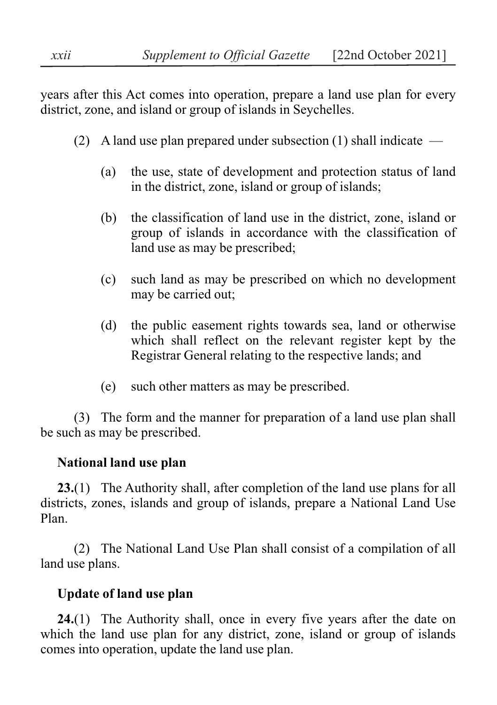years after this Act comes into operation, prepare a land use plan for every district, zone, and island or group of islands in Seychelles.

- (2) A land use plan prepared under subsection (1) shall indicate  $-$ 
	- (a) the use, state of development and protection status of land in the district, zone, island or group of islands;
	- (b) the classification of land use in the district, zone, island or group of islands in accordance with the classification of land use as may be prescribed;
	- (c) such land as may be prescribed on which no development may be carried out;
	- (d) the public easement rights towards sea, land or otherwise which shall reflect on the relevant register kept by the Registrar General relating to the respective lands; and
	- (e) such other matters as may be prescribed.

(3) The form and the manner for preparation of a land use plan shall be such as may be prescribed.

## **National land use plan**

**23.**(1) The Authority shall, after completion of the land use plans for all districts, zones, islands and group of islands, prepare a National Land Use Plan.

(2) The National Land Use Plan shall consist of a compilation of all land use plans.

## **Update of land use plan**

**24.**(1) The Authority shall, once in every five years after the date on which the land use plan for any district, zone, island or group of islands comes into operation, update the land use plan.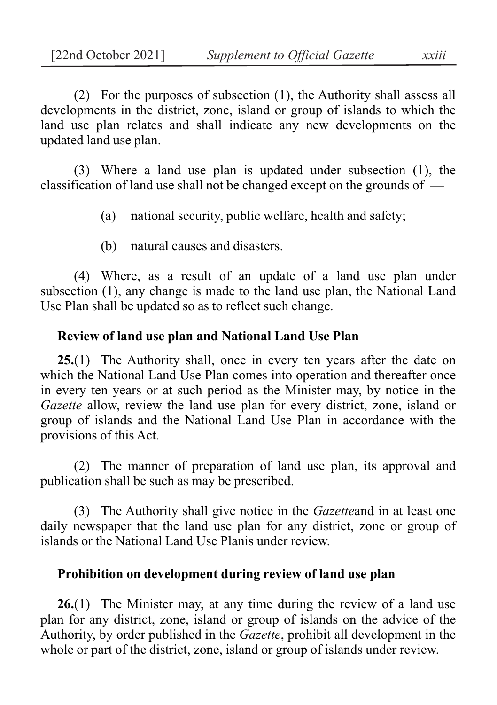(2) For the purposes of subsection (1), the Authority shall assess all developments in the district, zone, island or group of islands to which the land use plan relates and shall indicate any new developments on the updated land use plan.

(3) Where a land use plan is updated under subsection (1), the classification of land use shall not be changed except on the grounds of —

(a) national security, public welfare, health and safety;

(b) natural causes and disasters.

(4) Where, as a result of an update of a land use plan under subsection (1), any change is made to the land use plan, the National Land Use Plan shall be updated so as to reflect such change.

### **Review of land use plan and National Land Use Plan**

**25.**(1) The Authority shall, once in every ten years after the date on which the National Land Use Plan comes into operation and thereafter once in every ten years or at such period as the Minister may, by notice in the *Gazette* allow, review the land use plan for every district, zone, island or group of islands and the National Land Use Plan in accordance with the provisions of this Act.

(2) The manner of preparation of land use plan, its approval and publication shall be such as may be prescribed.

(3) The Authority shall give notice in the *Gazette*and in at least one daily newspaper that the land use plan for any district, zone or group of islands or the National Land Use Planis under review.

#### **Prohibition on development during review of land use plan**

**26.**(1) The Minister may, at any time during the review of a land use plan for any district, zone, island or group of islands on the advice of the Authority, by order published in the *Gazette*, prohibit all development in the whole or part of the district, zone, island or group of islands under review.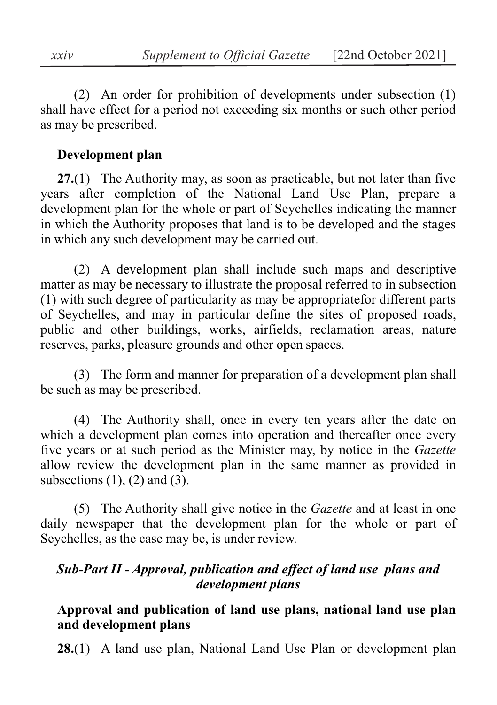(2) An order for prohibition of developments under subsection (1) shall have effect for a period not exceeding six months or such other period as may be prescribed.

#### **Development plan**

**27.**(1) The Authority may, as soon as practicable, but not later than five years after completion of the National Land Use Plan, prepare a development plan for the whole or part of Seychelles indicating the manner in which the Authority proposes that land is to be developed and the stages in which any such development may be carried out.

(2) A development plan shall include such maps and descriptive matter as may be necessary to illustrate the proposal referred to in subsection (1) with such degree of particularity as may be appropriatefor different parts of Seychelles, and may in particular define the sites of proposed roads, public and other buildings, works, airfields, reclamation areas, nature reserves, parks, pleasure grounds and other open spaces.

(3) The form and manner for preparation of a development plan shall be such as may be prescribed.

(4) The Authority shall, once in every ten years after the date on which a development plan comes into operation and thereafter once every five years or at such period as the Minister may, by notice in the *Gazette* allow review the development plan in the same manner as provided in subsections  $(1)$ ,  $(2)$  and  $(3)$ .

(5) The Authority shall give notice in the *Gazette* and at least in one daily newspaper that the development plan for the whole or part of Seychelles, as the case may be, is under review.

### *Sub-Part II - Approval, publication and effect of land use plans and development plans*

### **Approval and publication of land use plans, national land use plan and development plans**

**28.**(1) A land use plan, National Land Use Plan or development plan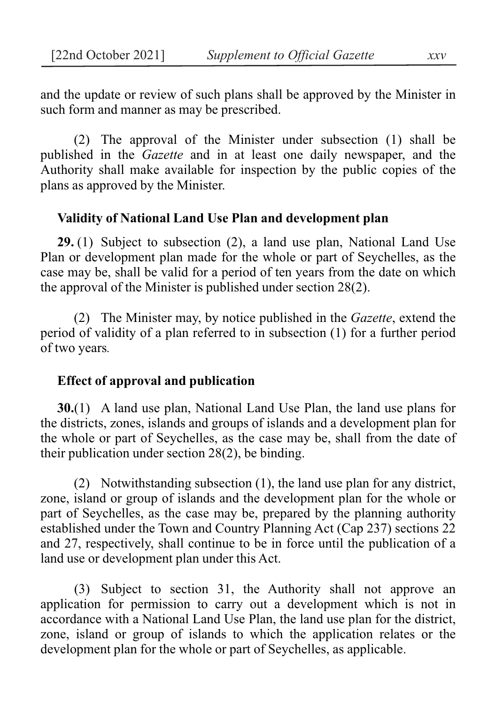and the update or review of such plans shall be approved by the Minister in such form and manner as may be prescribed.

(2) The approval of the Minister under subsection (1) shall be published in the *Gazette* and in at least one daily newspaper, and the Authority shall make available for inspection by the public copies of the plans as approved by the Minister.

#### **Validity of National Land Use Plan and development plan**

**29.** (1) Subject to subsection (2), a land use plan, National Land Use Plan or development plan made for the whole or part of Seychelles, as the case may be, shall be valid for a period of ten years from the date on which the approval of the Minister is published under section 28(2).

(2) The Minister may, by notice published in the *Gazette*, extend the period of validity of a plan referred to in subsection (1) for a further period of two years*.*

#### **Effect of approval and publication**

**30.**(1) A land use plan, National Land Use Plan, the land use plans for the districts, zones, islands and groups of islands and a development plan for the whole or part of Seychelles, as the case may be, shall from the date of their publication under section 28(2), be binding.

(2) Notwithstanding subsection (1), the land use plan for any district, zone, island or group of islands and the development plan for the whole or part of Seychelles, as the case may be, prepared by the planning authority established under the Town and Country Planning Act (Cap 237) sections 22 and 27, respectively, shall continue to be in force until the publication of a land use or development plan under this Act.

(3) Subject to section 31, the Authority shall not approve an application for permission to carry out a development which is not in accordance with a National Land Use Plan, the land use plan for the district, zone, island or group of islands to which the application relates or the development plan for the whole or part of Seychelles, as applicable.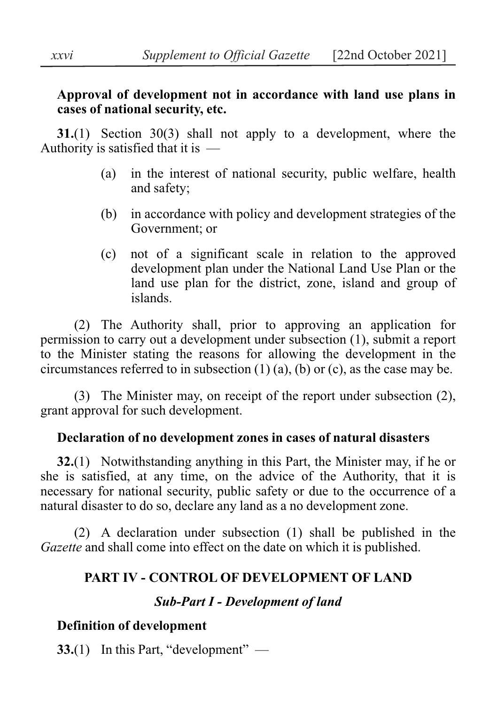### **Approval of development not in accordance with land use plans in cases of national security, etc.**

**31.**(1) Section 30(3) shall not apply to a development, where the Authority is satisfied that it is —

- (a) in the interest of national security, public welfare, health and safety;
- (b) in accordance with policy and development strategies of the Government; or
- (c) not of a significant scale in relation to the approved development plan under the National Land Use Plan or the land use plan for the district, zone, island and group of islands.

(2) The Authority shall, prior to approving an application for permission to carry out a development under subsection (1), submit a report to the Minister stating the reasons for allowing the development in the circumstances referred to in subsection  $(1)$   $(a)$ ,  $(b)$  or  $(c)$ , as the case may be.

(3) The Minister may, on receipt of the report under subsection (2), grant approval for such development.

## **Declaration of no development zones in cases of natural disasters**

**32.**(1) Notwithstanding anything in this Part, the Minister may, if he or she is satisfied, at any time, on the advice of the Authority, that it is necessary for national security, public safety or due to the occurrence of a natural disaster to do so, declare any land as a no development zone.

(2) A declaration under subsection (1) shall be published in the *Gazette* and shall come into effect on the date on which it is published.

## **PART IV - CONTROL OF DEVELOPMENT OF LAND**

## *Sub-Part I - Development of land*

# **Definition of development**

**33.**(1) In this Part, "development" —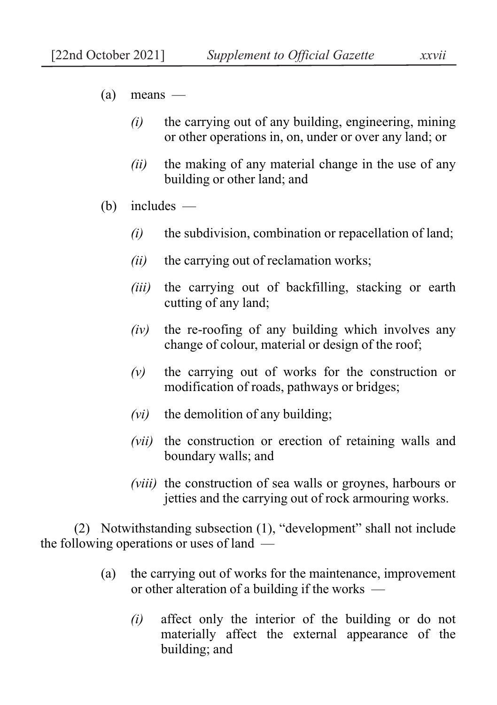- $(a)$  means
	- *(i)* the carrying out of any building, engineering, mining or other operations in, on, under or over any land; or
	- *(ii)* the making of any material change in the use of any building or other land; and
- (b) includes
	- *(i)* the subdivision, combination or repacellation of land;
	- *(ii)* the carrying out of reclamation works;
	- *(iii)* the carrying out of backfilling, stacking or earth cutting of any land;
	- *(iv)* the re-roofing of any building which involves any change of colour, material or design of the roof;
	- *(v)* the carrying out of works for the construction or modification of roads, pathways or bridges;
	- *(vi)* the demolition of any building;
	- *(vii)* the construction or erection of retaining walls and boundary walls; and
	- *(viii)* the construction of sea walls or groynes, harbours or jetties and the carrying out of rock armouring works.

(2) Notwithstanding subsection (1), "development" shall not include the following operations or uses of land —

- (a) the carrying out of works for the maintenance, improvement or other alteration of a building if the works —
	- *(i)* affect only the interior of the building or do not materially affect the external appearance of the building; and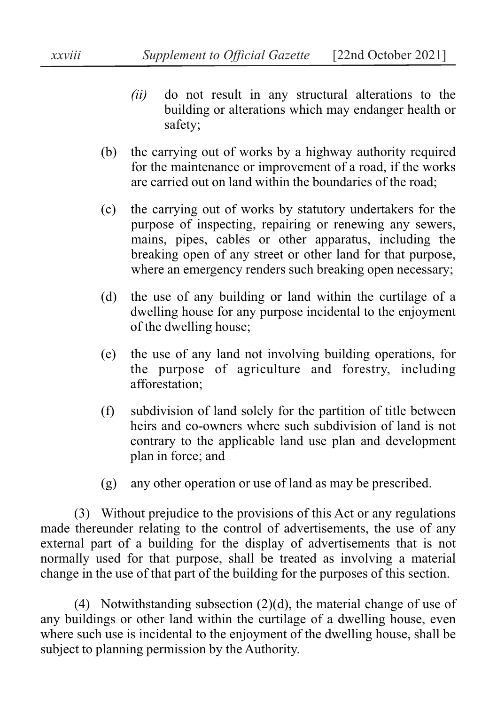- *(ii)* do not result in any structural alterations to the building or alterations which may endanger health or safety;
- (b) the carrying out of works by a highway authority required for the maintenance or improvement of a road, if the works are carried out on land within the boundaries of the road;
- (c) the carrying out of works by statutory undertakers for the purpose of inspecting, repairing or renewing any sewers, mains, pipes, cables or other apparatus, including the breaking open of any street or other land for that purpose, where an emergency renders such breaking open necessary;
- (d) the use of any building or land within the curtilage of a dwelling house for any purpose incidental to the enjoyment of the dwelling house;
- (e) the use of any land not involving building operations, for the purpose of agriculture and forestry, including afforestation;
- (f) subdivision of land solely for the partition of title between heirs and co-owners where such subdivision of land is not contrary to the applicable land use plan and development plan in force; and
- (g) any other operation or use of land as may be prescribed.

(3) Without prejudice to the provisions of this Act or any regulations made thereunder relating to the control of advertisements, the use of any external part of a building for the display of advertisements that is not normally used for that purpose, shall be treated as involving a material change in the use of that part of the building for the purposes of this section.

(4) Notwithstanding subsection (2)(d), the material change of use of any buildings or other land within the curtilage of a dwelling house, even where such use is incidental to the enjoyment of the dwelling house, shall be subject to planning permission by the Authority.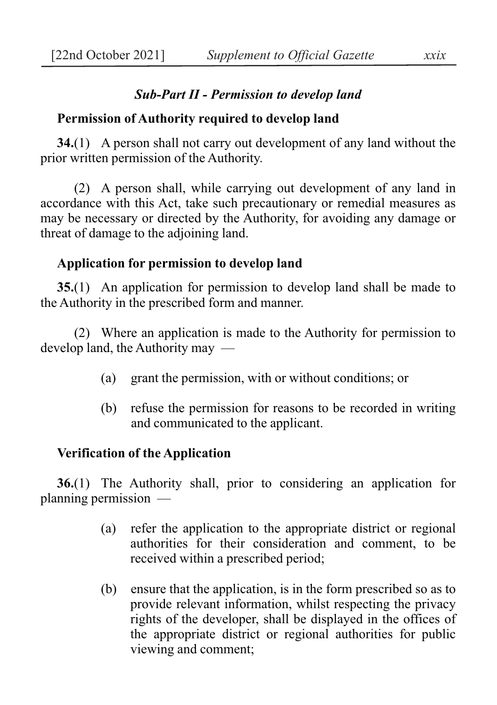## *Sub-Part II - Permission to develop land*

### **Permission of Authority required to develop land**

**34.**(1) A person shall not carry out development of any land without the prior written permission of the Authority.

(2) A person shall, while carrying out development of any land in accordance with this Act, take such precautionary or remedial measures as may be necessary or directed by the Authority, for avoiding any damage or threat of damage to the adjoining land.

### **Application for permission to develop land**

**35.**(1) An application for permission to develop land shall be made to the Authority in the prescribed form and manner.

(2) Where an application is made to the Authority for permission to develop land, the Authority may —

- (a) grant the permission, with or without conditions; or
- (b) refuse the permission for reasons to be recorded in writing and communicated to the applicant.

### **Verification of the Application**

**36.**(1) The Authority shall, prior to considering an application for planning permission —

- (a) refer the application to the appropriate district or regional authorities for their consideration and comment, to be received within a prescribed period;
- (b) ensure that the application, is in the form prescribed so as to provide relevant information, whilst respecting the privacy rights of the developer, shall be displayed in the offices of the appropriate district or regional authorities for public viewing and comment;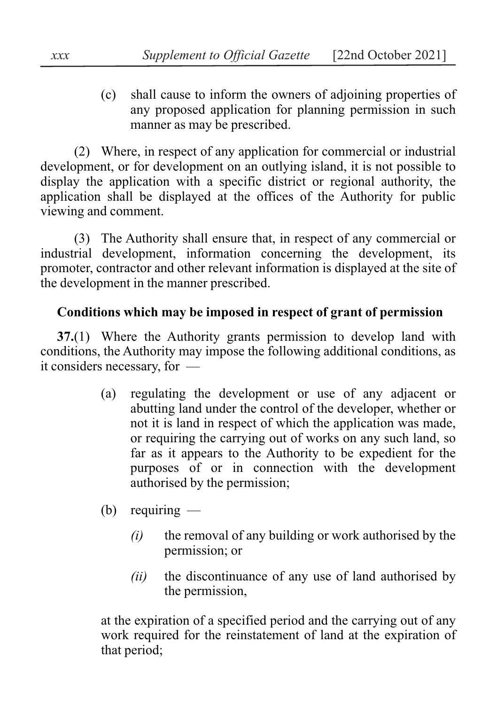(c) shall cause to inform the owners of adjoining properties of any proposed application for planning permission in such manner as may be prescribed.

(2) Where, in respect of any application for commercial or industrial development, or for development on an outlying island, it is not possible to display the application with a specific district or regional authority, the application shall be displayed at the offices of the Authority for public viewing and comment.

(3) The Authority shall ensure that, in respect of any commercial or industrial development, information concerning the development, its promoter, contractor and other relevant information is displayed at the site of the development in the manner prescribed.

## **Conditions which may be imposed in respect of grant of permission**

**37.**(1) Where the Authority grants permission to develop land with conditions, the Authority may impose the following additional conditions, as it considers necessary, for —

- (a) regulating the development or use of any adjacent or abutting land under the control of the developer, whether or not it is land in respect of which the application was made, or requiring the carrying out of works on any such land, so far as it appears to the Authority to be expedient for the purposes of or in connection with the development authorised by the permission;
- (b) requiring
	- *(i)* the removal of any building or work authorised by the permission; or
	- *(ii)* the discontinuance of any use of land authorised by the permission,

at the expiration of a specified period and the carrying out of any work required for the reinstatement of land at the expiration of that period;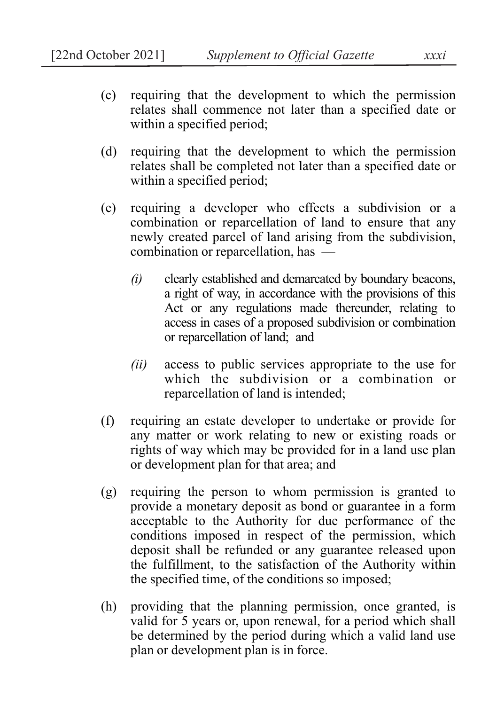- (c) requiring that the development to which the permission relates shall commence not later than a specified date or within a specified period;
- (d) requiring that the development to which the permission relates shall be completed not later than a specified date or within a specified period;
- (e) requiring a developer who effects a subdivision or a combination or reparcellation of land to ensure that any newly created parcel of land arising from the subdivision, combination or reparcellation, has —
	- *(i)* clearly established and demarcated by boundary beacons, a right of way, in accordance with the provisions of this Act or any regulations made thereunder, relating to access in cases of a proposed subdivision or combination or reparcellation of land; and
	- *(ii)* access to public services appropriate to the use for which the subdivision or a combination or reparcellation of land is intended;
- (f) requiring an estate developer to undertake or provide for any matter or work relating to new or existing roads or rights of way which may be provided for in a land use plan or development plan for that area; and
- (g) requiring the person to whom permission is granted to provide a monetary deposit as bond or guarantee in a form acceptable to the Authority for due performance of the conditions imposed in respect of the permission, which deposit shall be refunded or any guarantee released upon the fulfillment, to the satisfaction of the Authority within the specified time, of the conditions so imposed;
- (h) providing that the planning permission, once granted, is valid for 5 years or, upon renewal, for a period which shall be determined by the period during which a valid land use plan or development plan is in force.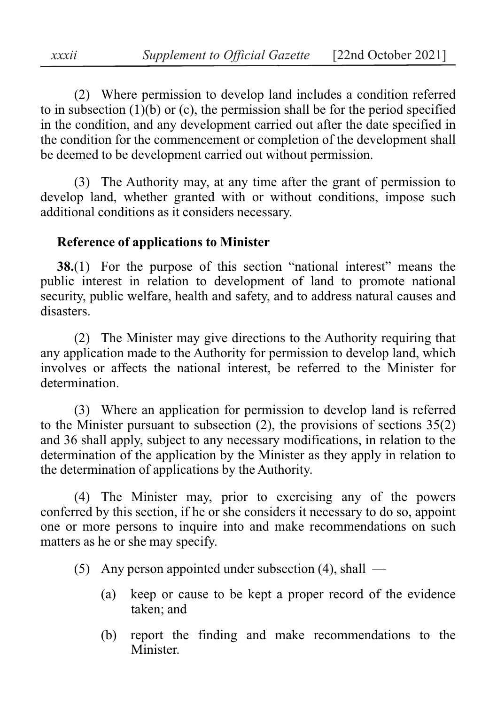(2) Where permission to develop land includes a condition referred to in subsection  $(1)(b)$  or  $(c)$ , the permission shall be for the period specified in the condition, and any development carried out after the date specified in the condition for the commencement or completion of the development shall be deemed to be development carried out without permission.

(3) The Authority may, at any time after the grant of permission to develop land, whether granted with or without conditions, impose such additional conditions as it considers necessary.

### **Reference of applications to Minister**

**38.**(1) For the purpose of this section "national interest" means the public interest in relation to development of land to promote national security, public welfare, health and safety, and to address natural causes and disasters.

(2) The Minister may give directions to the Authority requiring that any application made to the Authority for permission to develop land, which involves or affects the national interest, be referred to the Minister for determination.

(3) Where an application for permission to develop land is referred to the Minister pursuant to subsection  $(2)$ , the provisions of sections  $35(2)$ and 36 shall apply, subject to any necessary modifications, in relation to the determination of the application by the Minister as they apply in relation to the determination of applications by the Authority.

(4) The Minister may, prior to exercising any of the powers conferred by this section, if he or she considers it necessary to do so, appoint one or more persons to inquire into and make recommendations on such matters as he or she may specify.

(5) Any person appointed under subsection (4), shall —

- (a) keep or cause to be kept a proper record of the evidence taken; and
- (b) report the finding and make recommendations to the Minister.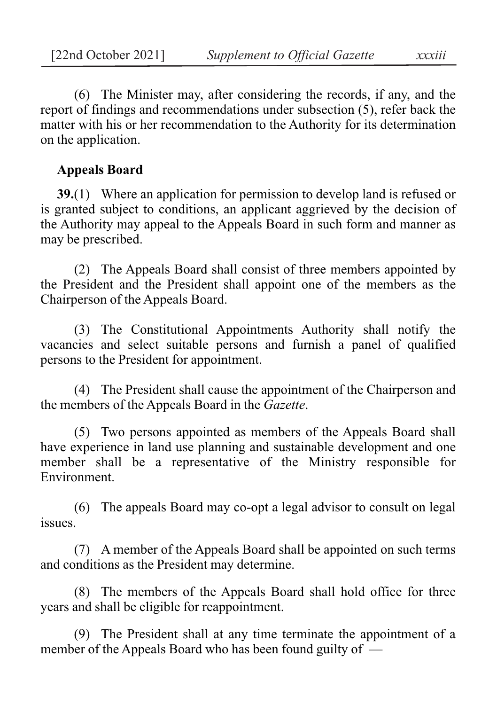(6) The Minister may, after considering the records, if any, and the report of findings and recommendations under subsection (5), refer back the matter with his or her recommendation to the Authority for its determination on the application.

### **Appeals Board**

**39.**(1) Where an application for permission to develop land is refused or is granted subject to conditions, an applicant aggrieved by the decision of the Authority may appeal to the Appeals Board in such form and manner as may be prescribed.

(2) The Appeals Board shall consist of three members appointed by the President and the President shall appoint one of the members as the Chairperson of the Appeals Board.

(3) The Constitutional Appointments Authority shall notify the vacancies and select suitable persons and furnish a panel of qualified persons to the President for appointment.

(4) The President shall cause the appointment of the Chairperson and the members of the Appeals Board in the *Gazette*.

(5) Two persons appointed as members of the Appeals Board shall have experience in land use planning and sustainable development and one member shall be a representative of the Ministry responsible for Environment.

(6) The appeals Board may co-opt a legal advisor to consult on legal issues.

(7) A member of the Appeals Board shall be appointed on such terms and conditions as the President may determine.

(8) The members of the Appeals Board shall hold office for three years and shall be eligible for reappointment.

(9) The President shall at any time terminate the appointment of a member of the Appeals Board who has been found guilty of —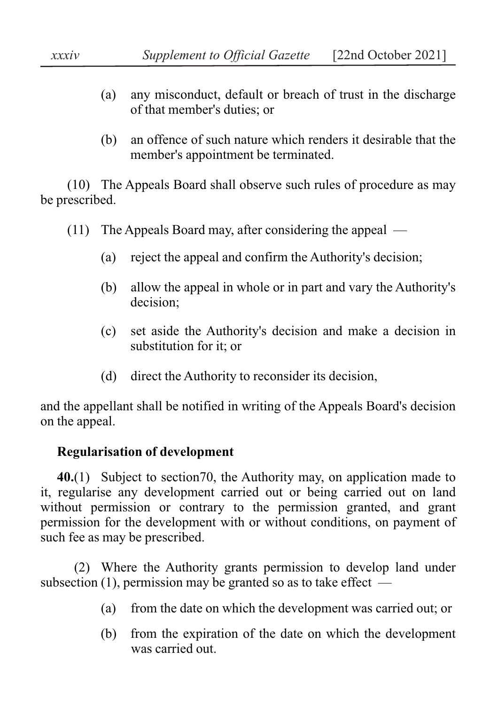- (a) any misconduct, default or breach of trust in the discharge of that member's duties; or
- (b) an offence of such nature which renders it desirable that the member's appointment be terminated.

(10) The Appeals Board shall observe such rules of procedure as may be prescribed.

- (11) The Appeals Board may, after considering the appeal
	- (a) reject the appeal and confirm the Authority's decision;
	- (b) allow the appeal in whole or in part and vary the Authority's decision;
	- (c) set aside the Authority's decision and make a decision in substitution for it; or
	- (d) direct the Authority to reconsider its decision,

and the appellant shall be notified in writing of the Appeals Board's decision on the appeal.

# **Regularisation of development**

**40.**(1) Subject to section70, the Authority may, on application made to it, regularise any development carried out or being carried out on land without permission or contrary to the permission granted, and grant permission for the development with or without conditions, on payment of such fee as may be prescribed.

(2) Where the Authority grants permission to develop land under subsection (1), permission may be granted so as to take effect  $-$ 

- (a) from the date on which the development was carried out; or
- (b) from the expiration of the date on which the development was carried out.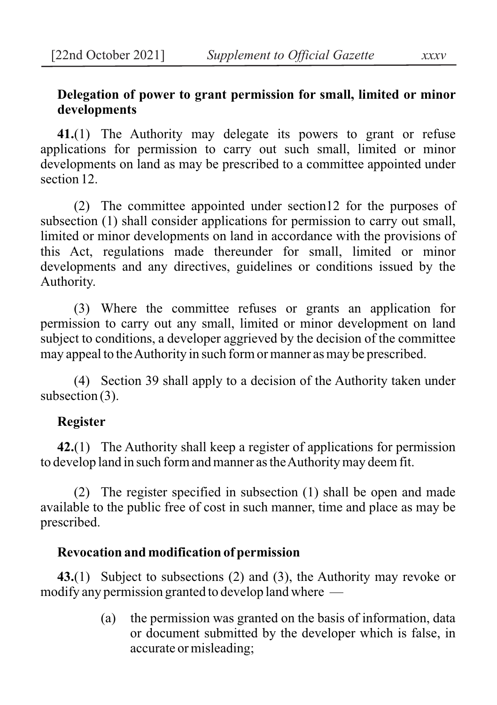## **Delegation of power to grant permission for small, limited or minor developments**

**41.**(1) The Authority may delegate its powers to grant or refuse applications for permission to carry out such small, limited or minor developments on land as may be prescribed to a committee appointed under section 12.

(2) The committee appointed under section12 for the purposes of subsection (1) shall consider applications for permission to carry out small, limited or minor developments on land in accordance with the provisions of this Act, regulations made thereunder for small, limited or minor developments and any directives, guidelines or conditions issued by the Authority.

(3) Where the committee refuses or grants an application for permission to carry out any small, limited or minor development on land subject to conditions, a developer aggrieved by the decision of the committee may appeal to the Authority in such form or manner as may be prescribed.

(4) Section 39 shall apply to a decision of the Authority taken under subsection (3).

### **Register**

**42.**(1) The Authority shall keep a register of applications for permission to develop land in such form and manner as the Authority may deem fit.

(2) The register specified in subsection (1) shall be open and made available to the public free of cost in such manner, time and place as may be prescribed.

### **Revocation and modification of permission**

**43.**(1) Subject to subsections (2) and (3), the Authority may revoke or modify any permission granted to develop land where —

> (a) the permission was granted on the basis of information, data or document submitted by the developer which is false, in accurate or misleading;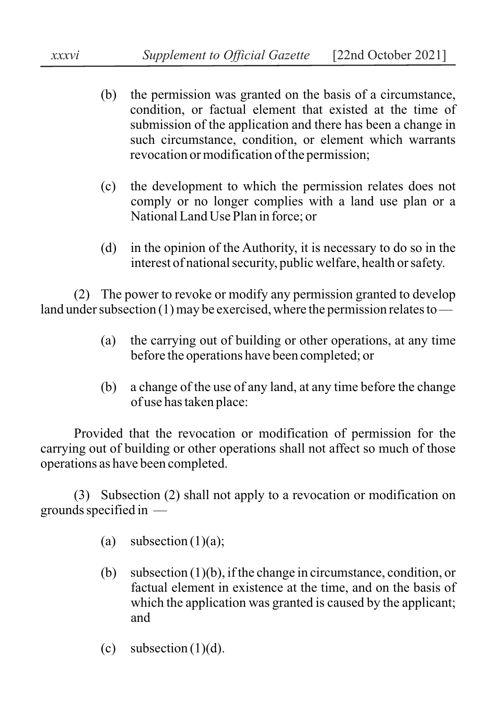- (b) the permission was granted on the basis of a circumstance, condition, or factual element that existed at the time of submission of the application and there has been a change in such circumstance, condition, or element which warrants revocation or modification of the permission;
- (c) the development to which the permission relates does not comply or no longer complies with a land use plan or a National Land Use Plan in force; or
- (d) in the opinion of the Authority, it is necessary to do so in the interest of national security, public welfare, health or safety.

(2) The power to revoke or modify any permission granted to develop land under subsection (1) may be exercised, where the permission relates to —

- (a) the carrying out of building or other operations, at any time before the operations have been completed; or
- (b) a change of the use of any land, at any time before the change of use has taken place:

Provided that the revocation or modification of permission for the carrying out of building or other operations shall not affect so much of those operations as have been completed.

(3) Subsection (2) shall not apply to a revocation or modification on grounds specified in —

- (a) subsection  $(1)(a)$ ;
- (b) subsection (1)(b), if the change in circumstance, condition, or factual element in existence at the time, and on the basis of which the application was granted is caused by the applicant; and
- (c) subsection  $(1)(d)$ .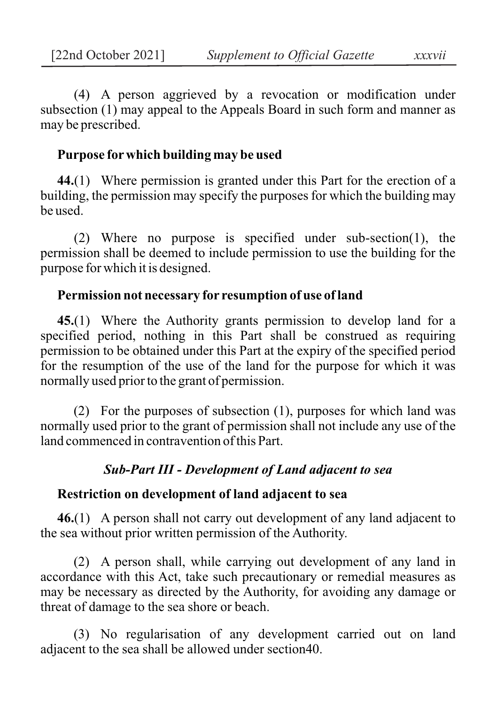(4) A person aggrieved by a revocation or modification under subsection (1) may appeal to the Appeals Board in such form and manner as may be prescribed.

### **Purpose for which building may be used**

**44.**(1) Where permission is granted under this Part for the erection of a building, the permission may specify the purposes for which the building may be used.

(2) Where no purpose is specified under sub-section(1), the permission shall be deemed to include permission to use the building for the purpose for which it is designed.

### **Permission not necessary for resumption of use of land**

**45.**(1) Where the Authority grants permission to develop land for a specified period, nothing in this Part shall be construed as requiring permission to be obtained under this Part at the expiry of the specified period for the resumption of the use of the land for the purpose for which it was normally used prior to the grant of permission.

(2) For the purposes of subsection (1), purposes for which land was normally used prior to the grant of permission shall not include any use of the land commenced in contravention of this Part.

## *Sub-Part III - Development of Land adjacent to sea*

## **Restriction on development of land adjacent to sea**

**46.**(1) A person shall not carry out development of any land adjacent to the sea without prior written permission of the Authority.

(2) A person shall, while carrying out development of any land in accordance with this Act, take such precautionary or remedial measures as may be necessary as directed by the Authority, for avoiding any damage or threat of damage to the sea shore or beach.

(3) No regularisation of any development carried out on land adjacent to the sea shall be allowed under section40.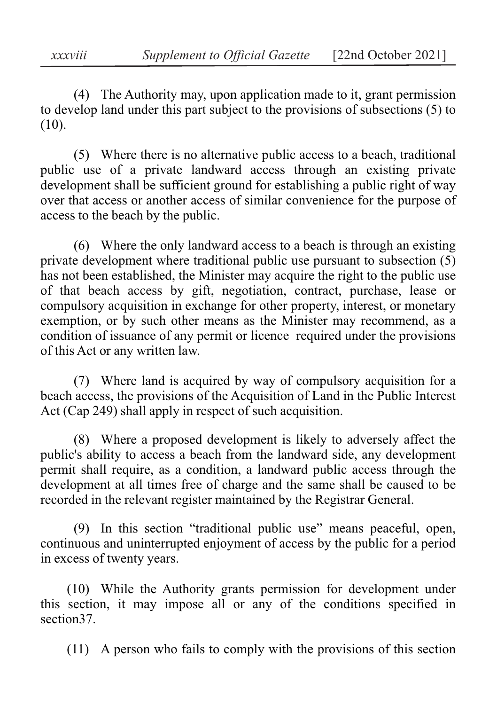(4) The Authority may, upon application made to it, grant permission to develop land under this part subject to the provisions of subsections (5) to (10).

(5) Where there is no alternative public access to a beach, traditional public use of a private landward access through an existing private development shall be sufficient ground for establishing a public right of way over that access or another access of similar convenience for the purpose of access to the beach by the public.

(6) Where the only landward access to a beach is through an existing private development where traditional public use pursuant to subsection (5) has not been established, the Minister may acquire the right to the public use of that beach access by gift, negotiation, contract, purchase, lease or compulsory acquisition in exchange for other property, interest, or monetary exemption, or by such other means as the Minister may recommend, as a condition of issuance of any permit or licence required under the provisions of this Act or any written law.

(7) Where land is acquired by way of compulsory acquisition for a beach access, the provisions of the Acquisition of Land in the Public Interest Act (Cap 249) shall apply in respect of such acquisition.

(8) Where a proposed development is likely to adversely affect the public's ability to access a beach from the landward side, any development permit shall require, as a condition, a landward public access through the development at all times free of charge and the same shall be caused to be recorded in the relevant register maintained by the Registrar General.

(9) In this section "traditional public use" means peaceful, open, continuous and uninterrupted enjoyment of access by the public for a period in excess of twenty years.

(10) While the Authority grants permission for development under this section, it may impose all or any of the conditions specified in section37.

(11) A person who fails to comply with the provisions of this section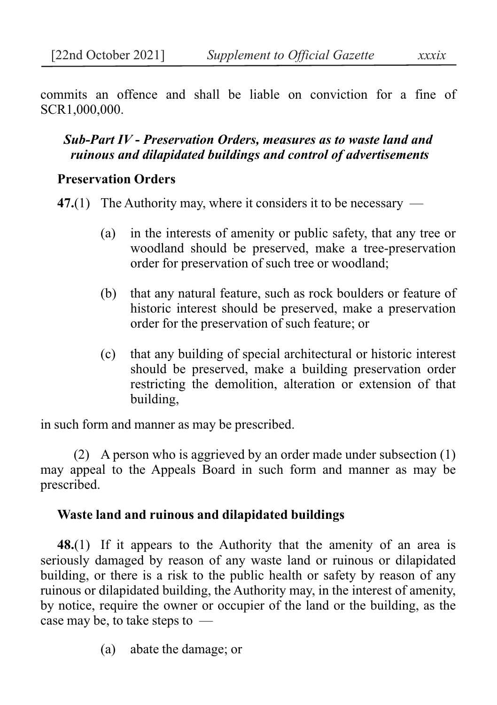commits an offence and shall be liable on conviction for a fine of SCR1,000,000.

## *Sub-Part IV* **-** *Preservation Orders, measures as to waste land and ruinous and dilapidated buildings and control of advertisements*

### **Preservation Orders**

**47.**(1) The Authority may, where it considers it to be necessary —

- (a) in the interests of amenity or public safety, that any tree or woodland should be preserved, make a tree-preservation order for preservation of such tree or woodland;
- (b) that any natural feature, such as rock boulders or feature of historic interest should be preserved, make a preservation order for the preservation of such feature; or
- (c) that any building of special architectural or historic interest should be preserved, make a building preservation order restricting the demolition, alteration or extension of that building,

in such form and manner as may be prescribed.

(2) A person who is aggrieved by an order made under subsection (1) may appeal to the Appeals Board in such form and manner as may be prescribed.

### **Waste land and ruinous and dilapidated buildings**

**48.**(1) If it appears to the Authority that the amenity of an area is seriously damaged by reason of any waste land or ruinous or dilapidated building, or there is a risk to the public health or safety by reason of any ruinous or dilapidated building, the Authority may, in the interest of amenity, by notice, require the owner or occupier of the land or the building, as the case may be, to take steps to —

(a) abate the damage; or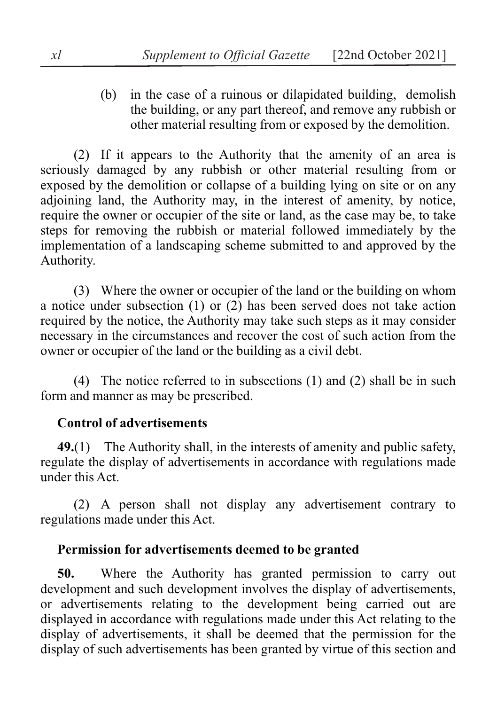(b) in the case of a ruinous or dilapidated building, demolish the building, or any part thereof, and remove any rubbish or other material resulting from or exposed by the demolition.

(2) If it appears to the Authority that the amenity of an area is seriously damaged by any rubbish or other material resulting from or exposed by the demolition or collapse of a building lying on site or on any adjoining land, the Authority may, in the interest of amenity, by notice, require the owner or occupier of the site or land, as the case may be, to take steps for removing the rubbish or material followed immediately by the implementation of a landscaping scheme submitted to and approved by the Authority.

(3) Where the owner or occupier of the land or the building on whom a notice under subsection (1) or (2) has been served does not take action required by the notice, the Authority may take such steps as it may consider necessary in the circumstances and recover the cost of such action from the owner or occupier of the land or the building as a civil debt.

(4) The notice referred to in subsections (1) and (2) shall be in such form and manner as may be prescribed.

### **Control of advertisements**

**49.**(1) The Authority shall, in the interests of amenity and public safety, regulate the display of advertisements in accordance with regulations made under this Act.

(2) A person shall not display any advertisement contrary to regulations made under this Act.

#### **Permission for advertisements deemed to be granted**

**50.** Where the Authority has granted permission to carry out development and such development involves the display of advertisements, or advertisements relating to the development being carried out are displayed in accordance with regulations made under this Act relating to the display of advertisements, it shall be deemed that the permission for the display of such advertisements has been granted by virtue of this section and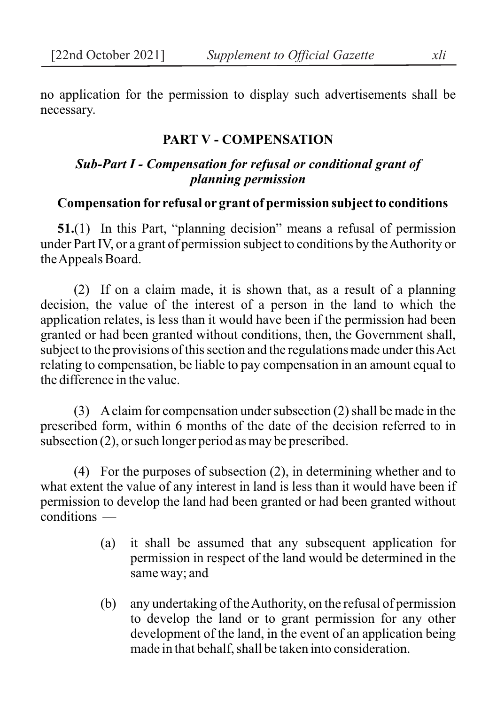no application for the permission to display such advertisements shall be necessary.

#### **PART V - COMPENSATION**

### *Sub-Part I - Compensation for refusal or conditional grant of planning permission*

## **Compensation for refusal or grant of permission subject to conditions**

**51.**(1) In this Part, "planning decision" means a refusal of permission under Part IV, or a grant of permission subject to conditions by the Authority or the Appeals Board.

(2) If on a claim made, it is shown that, as a result of a planning decision, the value of the interest of a person in the land to which the application relates, is less than it would have been if the permission had been granted or had been granted without conditions, then, the Government shall, subject to the provisions of this section and the regulations made under this Act relating to compensation, be liable to pay compensation in an amount equal to the difference in the value.

(3) A claim for compensation under subsection (2) shall be made in the prescribed form, within 6 months of the date of the decision referred to in subsection (2), or such longer period as may be prescribed.

(4) For the purposes of subsection (2), in determining whether and to what extent the value of any interest in land is less than it would have been if permission to develop the land had been granted or had been granted without conditions —

- (a) it shall be assumed that any subsequent application for permission in respect of the land would be determined in the same way; and
- (b) any undertaking of the Authority, on the refusal of permission to develop the land or to grant permission for any other development of the land, in the event of an application being made in that behalf, shall be taken into consideration.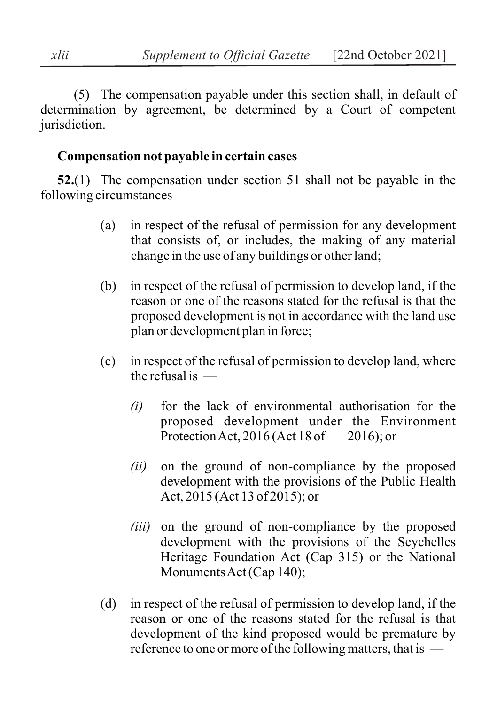(5) The compensation payable under this section shall, in default of determination by agreement, be determined by a Court of competent jurisdiction.

#### **Compensation not payable in certain cases**

**52.**(1) The compensation under section 51 shall not be payable in the following circumstances —

- (a) in respect of the refusal of permission for any development that consists of, or includes, the making of any material change in the use of any buildings or other land;
- (b) in respect of the refusal of permission to develop land, if the reason or one of the reasons stated for the refusal is that the proposed development is not in accordance with the land use plan or development plan in force;
- (c) in respect of the refusal of permission to develop land, where the refusal is  $-$ 
	- *(i)* for the lack of environmental authorisation for the proposed development under the Environment Protection Act, 2016 (Act 18 of 2016); or
	- *(ii)* on the ground of non-compliance by the proposed development with the provisions of the Public Health Act, 2015 (Act 13 of 2015); or
	- *(iii)* on the ground of non-compliance by the proposed development with the provisions of the Seychelles Heritage Foundation Act (Cap 315) or the National Monuments Act (Cap 140);
- (d) in respect of the refusal of permission to develop land, if the reason or one of the reasons stated for the refusal is that development of the kind proposed would be premature by reference to one or more of the following matters, that is —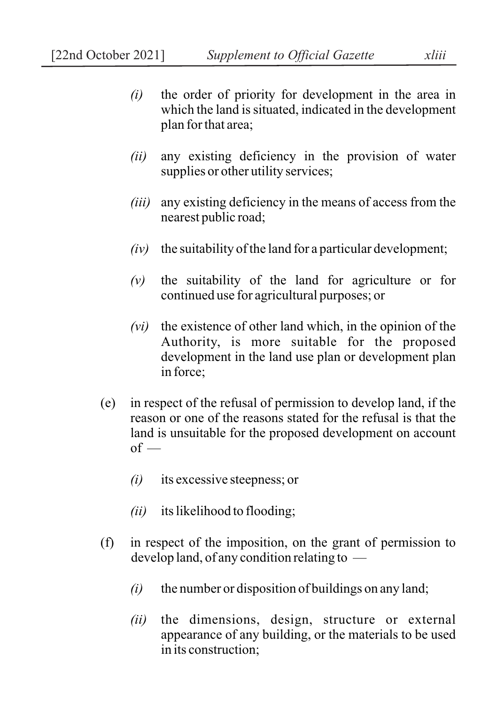- *(i)* the order of priority for development in the area in which the land is situated, indicated in the development plan for that area;
- *(ii)* any existing deficiency in the provision of water supplies or other utility services;
- *(iii)* any existing deficiency in the means of access from the nearest public road;
- $(iv)$  the suitability of the land for a particular development;
- *(v)* the suitability of the land for agriculture or for continued use for agricultural purposes; or
- *(vi)* the existence of other land which, in the opinion of the Authority, is more suitable for the proposed development in the land use plan or development plan in force;
- (e) in respect of the refusal of permission to develop land, if the reason or one of the reasons stated for the refusal is that the land is unsuitable for the proposed development on account  $of -$ 
	- *(i)* its excessive steepness; or
	- *(ii)* its likelihood to flooding;
- (f) in respect of the imposition, on the grant of permission to develop land, of any condition relating to —
	- *(i)* the number or disposition of buildings on any land;
	- *(ii)* the dimensions, design, structure or external appearance of any building, or the materials to be used in its construction;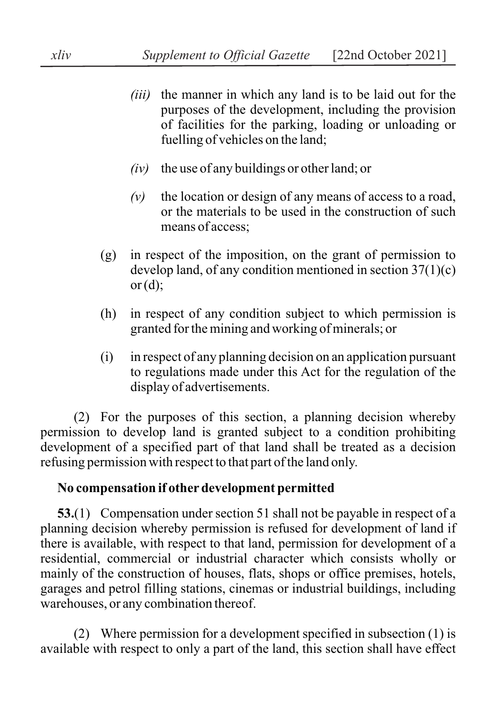- *(iii)* the manner in which any land is to be laid out for the purposes of the development, including the provision of facilities for the parking, loading or unloading or fuelling of vehicles on the land;
- *(iv)* the use of any buildings or other land; or
- *(v)* the location or design of any means of access to a road, or the materials to be used in the construction of such means of access;
- (g) in respect of the imposition, on the grant of permission to develop land, of any condition mentioned in section 37(1)(c) or  $(d)$ :
- (h) in respect of any condition subject to which permission is granted for the mining and working of minerals; or
- (i) in respect of any planning decision on an application pursuant to regulations made under this Act for the regulation of the display of advertisements.

(2) For the purposes of this section, a planning decision whereby permission to develop land is granted subject to a condition prohibiting development of a specified part of that land shall be treated as a decision refusing permission with respect to that part of the land only.

### **No compensation if other development permitted**

**53.**(1) Compensation under section 51 shall not be payable in respect of a planning decision whereby permission is refused for development of land if there is available, with respect to that land, permission for development of a residential, commercial or industrial character which consists wholly or mainly of the construction of houses, flats, shops or office premises, hotels, garages and petrol filling stations, cinemas or industrial buildings, including warehouses, or any combination thereof.

(2) Where permission for a development specified in subsection (1) is available with respect to only a part of the land, this section shall have effect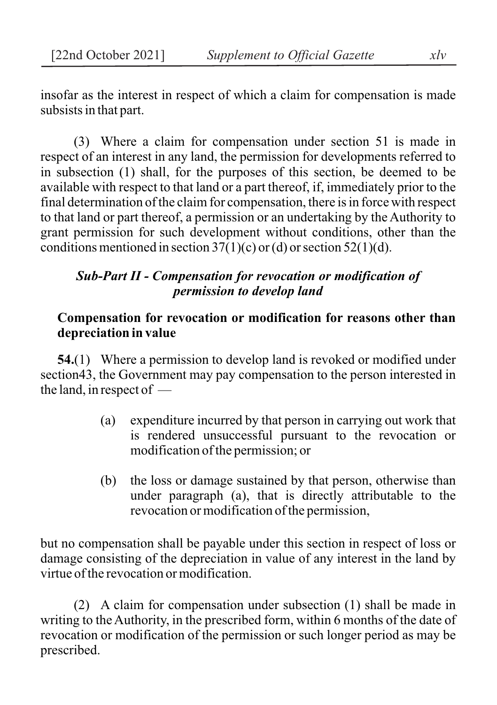insofar as the interest in respect of which a claim for compensation is made subsists in that part.

(3) Where a claim for compensation under section 51 is made in respect of an interest in any land, the permission for developments referred to in subsection (1) shall, for the purposes of this section, be deemed to be available with respect to that land or a part thereof, if, immediately prior to the final determination of the claim for compensation, there is in force with respect to that land or part thereof, a permission or an undertaking by the Authority to grant permission for such development without conditions, other than the conditions mentioned in section  $37(1)(c)$  or (d) or section  $52(1)(d)$ .

## *Sub-Part II - Compensation for revocation or modification of permission to develop land*

### **Compensation for revocation or modification for reasons other than depreciation in value**

**54.**(1) Where a permission to develop land is revoked or modified under section43, the Government may pay compensation to the person interested in the land, in respect of —

- (a) expenditure incurred by that person in carrying out work that is rendered unsuccessful pursuant to the revocation or modification of the permission; or
- (b) the loss or damage sustained by that person, otherwise than under paragraph (a), that is directly attributable to the revocation or modification of the permission,

but no compensation shall be payable under this section in respect of loss or damage consisting of the depreciation in value of any interest in the land by virtue of the revocation or modification.

(2) A claim for compensation under subsection (1) shall be made in writing to the Authority, in the prescribed form, within 6 months of the date of revocation or modification of the permission or such longer period as may be prescribed.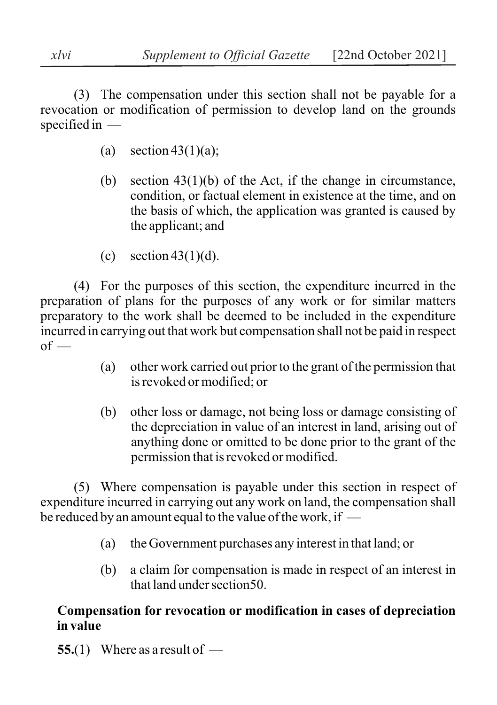(3) The compensation under this section shall not be payable for a revocation or modification of permission to develop land on the grounds specified in —

- (a) section  $43(1)(a)$ ;
- (b) section  $43(1)(b)$  of the Act, if the change in circumstance, condition, or factual element in existence at the time, and on the basis of which, the application was granted is caused by the applicant; and
- (c) section  $43(1)(d)$ .

(4) For the purposes of this section, the expenditure incurred in the preparation of plans for the purposes of any work or for similar matters preparatory to the work shall be deemed to be included in the expenditure incurred in carrying out that work but compensation shall not be paid in respect  $of$  —

- (a) other work carried out prior to the grant of the permission that is revoked or modified; or
- (b) other loss or damage, not being loss or damage consisting of the depreciation in value of an interest in land, arising out of anything done or omitted to be done prior to the grant of the permission that is revoked or modified.

(5) Where compensation is payable under this section in respect of expenditure incurred in carrying out any work on land, the compensation shall be reduced by an amount equal to the value of the work, if —

- (a) the Government purchases any interest in that land; or
- (b) a claim for compensation is made in respect of an interest in that land under section50.

## **Compensation for revocation or modification in cases of depreciation in value**

**55.**(1) Where as a result of —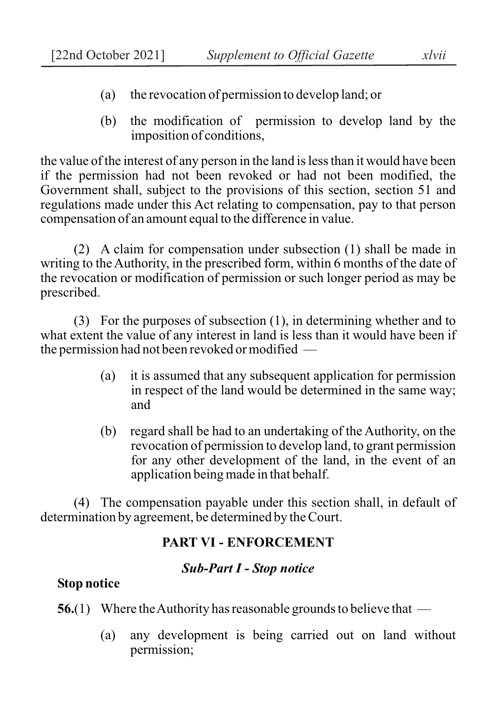- (a) the revocation of permission to develop land; or
- (b) the modification of permission to develop land by the imposition of conditions,

the value of the interest of any person in the land is less than it would have been if the permission had not been revoked or had not been modified, the Government shall, subject to the provisions of this section, section 51 and regulations made under this Act relating to compensation, pay to that person compensation of an amount equal to the difference in value.

(2) A claim for compensation under subsection (1) shall be made in writing to the Authority, in the prescribed form, within 6 months of the date of the revocation or modification of permission or such longer period as may be prescribed.

(3) For the purposes of subsection (1), in determining whether and to what extent the value of any interest in land is less than it would have been if the permission had not been revoked or modified —

- (a) it is assumed that any subsequent application for permission in respect of the land would be determined in the same way; and
- (b) regard shall be had to an undertaking of the Authority, on the revocation of permission to develop land, to grant permission for any other development of the land, in the event of an application being made in that behalf.

(4) The compensation payable under this section shall, in default of determination by agreement, be determined by the Court.

## **PART VI - ENFORCEMENT**

## *Sub-Part I - Stop notice*

# **Stop notice**

**56.**(1) Where the Authority has reasonable grounds to believe that —

(a) any development is being carried out on land without permission;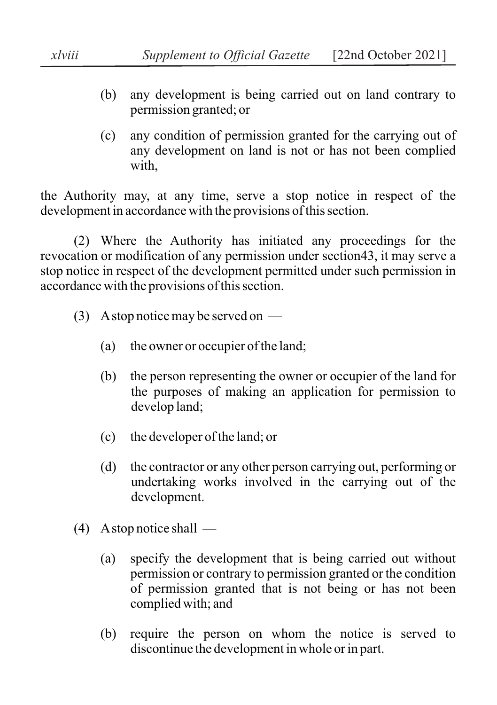- (b) any development is being carried out on land contrary to permission granted; or
- (c) any condition of permission granted for the carrying out of any development on land is not or has not been complied with.

the Authority may, at any time, serve a stop notice in respect of the development in accordance with the provisions of this section.

(2) Where the Authority has initiated any proceedings for the revocation or modification of any permission under section43, it may serve a stop notice in respect of the development permitted under such permission in accordance with the provisions of this section.

- (3) A stop notice may be served on
	- (a) the owner or occupier of the land;
	- (b) the person representing the owner or occupier of the land for the purposes of making an application for permission to develop land;
	- (c) the developer of the land; or
	- (d) the contractor or any other person carrying out, performing or undertaking works involved in the carrying out of the development.
- (4) A stop notice shall
	- (a) specify the development that is being carried out without permission or contrary to permission granted or the condition of permission granted that is not being or has not been complied with; and
	- (b) require the person on whom the notice is served to discontinue the development in whole or in part.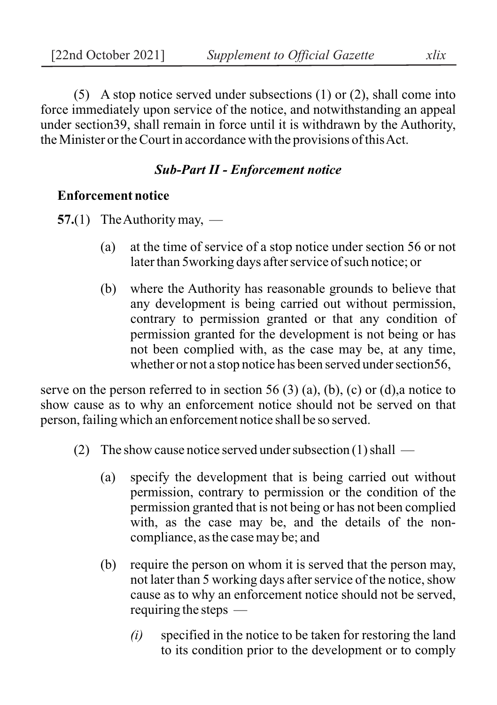(5) A stop notice served under subsections (1) or (2), shall come into force immediately upon service of the notice, and notwithstanding an appeal under section39, shall remain in force until it is withdrawn by the Authority, the Minister or the Court in accordance with the provisions of this Act.

## *Sub-Part II - Enforcement notice*

## **Enforcement notice**

**57.**(1) The Authority may, —

- (a) at the time of service of a stop notice under section 56 or not later than 5working days after service of such notice; or
- (b) where the Authority has reasonable grounds to believe that any development is being carried out without permission, contrary to permission granted or that any condition of permission granted for the development is not being or has not been complied with, as the case may be, at any time, whether or not a stop notice has been served under section56,

serve on the person referred to in section 56 (3) (a), (b), (c) or (d), a notice to show cause as to why an enforcement notice should not be served on that person, failing which an enforcement notice shall be so served.

- (2) The show cause notice served under subsection (1) shall
	- (a) specify the development that is being carried out without permission, contrary to permission or the condition of the permission granted that is not being or has not been complied with, as the case may be, and the details of the noncompliance, as the case may be; and
	- (b) require the person on whom it is served that the person may, not later than 5 working days after service of the notice, show cause as to why an enforcement notice should not be served, requiring the steps —
		- *(i)* specified in the notice to be taken for restoring the land to its condition prior to the development or to comply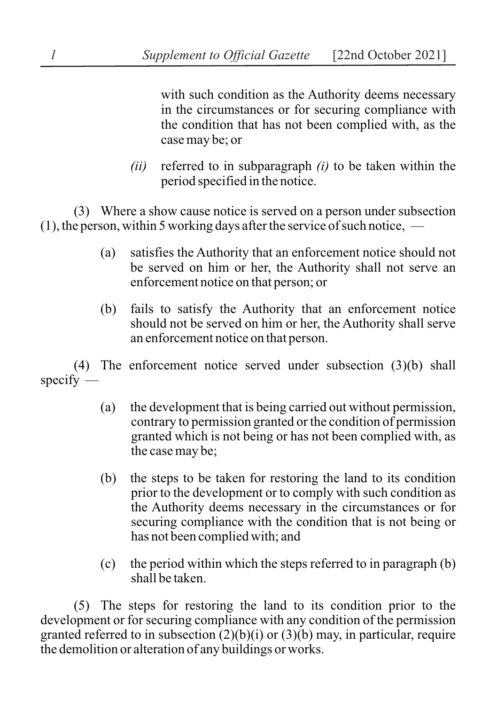with such condition as the Authority deems necessary in the circumstances or for securing compliance with the condition that has not been complied with, as the case may be; or

*(ii)* referred to in subparagraph *(i)* to be taken within the period specified in the notice.

(3) Where a show cause notice is served on a person under subsection  $(1)$ , the person, within 5 working days after the service of such notice,  $-$ 

- (a) satisfies the Authority that an enforcement notice should not be served on him or her, the Authority shall not serve an enforcement notice on that person; or
- (b) fails to satisfy the Authority that an enforcement notice should not be served on him or her, the Authority shall serve an enforcement notice on that person.

(4) The enforcement notice served under subsection (3)(b) shall specify —

- (a) the development that is being carried out without permission, contrary to permission granted or the condition of permission granted which is not being or has not been complied with, as the case may be;
- (b) the steps to be taken for restoring the land to its condition prior to the development or to comply with such condition as the Authority deems necessary in the circumstances or for securing compliance with the condition that is not being or has not been complied with; and
- (c) the period within which the steps referred to in paragraph (b) shall be taken.

(5) The steps for restoring the land to its condition prior to the development or for securing compliance with any condition of the permission granted referred to in subsection  $(2)(b)(i)$  or  $(3)(b)$  may, in particular, require the demolition or alteration of any buildings or works.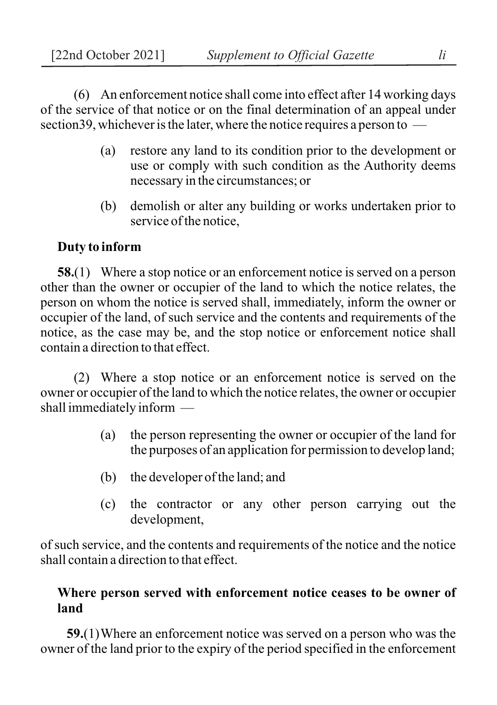(6) An enforcement notice shall come into effect after 14 working days of the service of that notice or on the final determination of an appeal under section39, whichever is the later, where the notice requires a person to —

- (a) restore any land to its condition prior to the development or use or comply with such condition as the Authority deems necessary in the circumstances; or
- (b) demolish or alter any building or works undertaken prior to service of the notice,

## **Duty to inform**

**58.**(1) Where a stop notice or an enforcement notice is served on a person other than the owner or occupier of the land to which the notice relates, the person on whom the notice is served shall, immediately, inform the owner or occupier of the land, of such service and the contents and requirements of the notice, as the case may be, and the stop notice or enforcement notice shall contain a direction to that effect.

(2) Where a stop notice or an enforcement notice is served on the owner or occupier of the land to which the notice relates, the owner or occupier shall immediately inform —

- (a) the person representing the owner or occupier of the land for the purposes of an application for permission to develop land;
- (b) the developer of the land; and
- (c) the contractor or any other person carrying out the development,

of such service, and the contents and requirements of the notice and the notice shall contain a direction to that effect.

## **Where person served with enforcement notice ceases to be owner of land**

**59.**(1)Where an enforcement notice was served on a person who was the owner of the land prior to the expiry of the period specified in the enforcement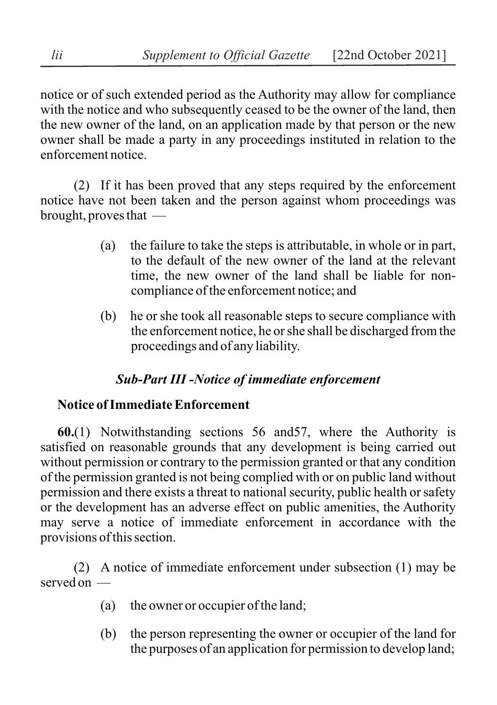notice or of such extended period as the Authority may allow for compliance with the notice and who subsequently ceased to be the owner of the land, then the new owner of the land, on an application made by that person or the new owner shall be made a party in any proceedings instituted in relation to the enforcement notice.

(2) If it has been proved that any steps required by the enforcement notice have not been taken and the person against whom proceedings was brought, proves that —

- (a) the failure to take the steps is attributable, in whole or in part, to the default of the new owner of the land at the relevant time, the new owner of the land shall be liable for noncompliance of the enforcement notice; and
- (b) he or she took all reasonable steps to secure compliance with the enforcement notice, he or she shall be discharged from the proceedings and of any liability.

# *Sub-Part III -Notice of immediate enforcement*

# **Notice of Immediate Enforcement**

**60.**(1) Notwithstanding sections 56 and57, where the Authority is satisfied on reasonable grounds that any development is being carried out without permission or contrary to the permission granted or that any condition of the permission granted is not being complied with or on public land without permission and there exists a threat to national security, public health or safety or the development has an adverse effect on public amenities, the Authority may serve a notice of immediate enforcement in accordance with the provisions of this section.

(2) A notice of immediate enforcement under subsection (1) may be served on —

- (a) the owner or occupier of the land;
- (b) the person representing the owner or occupier of the land for the purposes of an application for permission to develop land;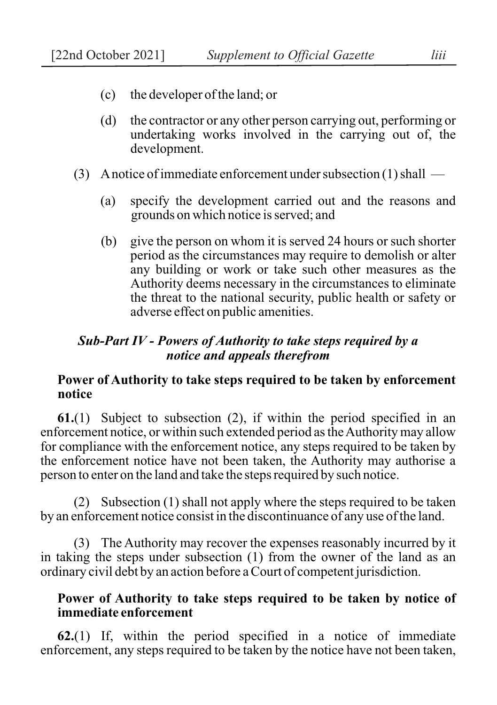- (c) the developer of the land; or
- (d) the contractor or any other person carrying out, performing or undertaking works involved in the carrying out of, the development.
- (3) A notice of immediate enforcement under subsection (1) shall
	- (a) specify the development carried out and the reasons and grounds on which notice is served; and
	- (b) give the person on whom it is served 24 hours or such shorter period as the circumstances may require to demolish or alter any building or work or take such other measures as the Authority deems necessary in the circumstances to eliminate the threat to the national security, public health or safety or adverse effect on public amenities.

## *Sub-Part IV - Powers of Authority to take steps required by a notice and appeals therefrom*

### **Power of Authority to take steps required to be taken by enforcement notice**

**61.**(1) Subject to subsection (2), if within the period specified in an enforcement notice, or within such extended period as the Authority may allow for compliance with the enforcement notice, any steps required to be taken by the enforcement notice have not been taken, the Authority may authorise a person to enter on the land and take the steps required by such notice.

(2) Subsection (1) shall not apply where the steps required to be taken by an enforcement notice consist in the discontinuance of any use of the land.

(3) The Authority may recover the expenses reasonably incurred by it in taking the steps under subsection (1) from the owner of the land as an ordinary civil debt by an action before a Court of competent jurisdiction.

### **Power of Authority to take steps required to be taken by notice of immediate enforcement**

**62.**(1) If, within the period specified in a notice of immediate enforcement, any steps required to be taken by the notice have not been taken,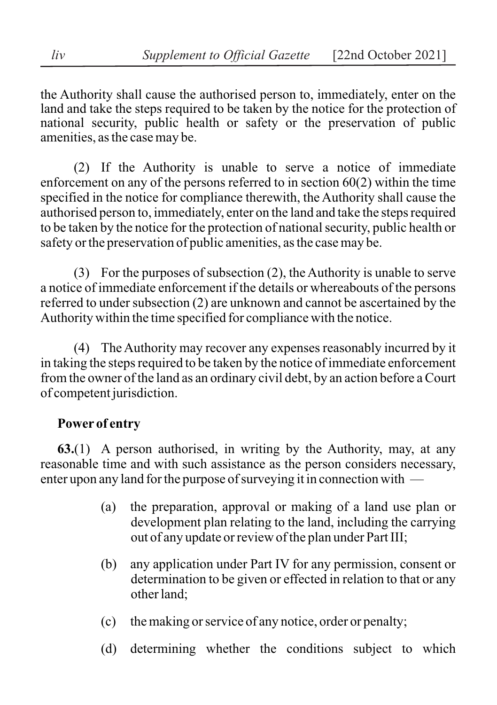the Authority shall cause the authorised person to, immediately, enter on the land and take the steps required to be taken by the notice for the protection of national security, public health or safety or the preservation of public amenities, as the case may be.

(2) If the Authority is unable to serve a notice of immediate enforcement on any of the persons referred to in section 60(2) within the time specified in the notice for compliance therewith, the Authority shall cause the authorised person to, immediately, enter on the land and take the steps required to be taken by the notice for the protection of national security, public health or safety or the preservation of public amenities, as the case may be.

(3) For the purposes of subsection (2), the Authority is unable to serve a notice of immediate enforcement if the details or whereabouts of the persons referred to under subsection (2) are unknown and cannot be ascertained by the Authority within the time specified for compliance with the notice.

(4) The Authority may recover any expenses reasonably incurred by it in taking the steps required to be taken by the notice of immediate enforcement from the owner of the land as an ordinary civil debt, by an action before a Court of competent jurisdiction.

## **Power of entry**

**63.**(1) A person authorised, in writing by the Authority, may, at any reasonable time and with such assistance as the person considers necessary, enter upon any land for the purpose of surveying it in connection with —

- (a) the preparation, approval or making of a land use plan or development plan relating to the land, including the carrying out of any update or review of the plan under Part III;
- (b) any application under Part IV for any permission, consent or determination to be given or effected in relation to that or any other land;
- (c) the making or service of any notice, order or penalty;
- (d) determining whether the conditions subject to which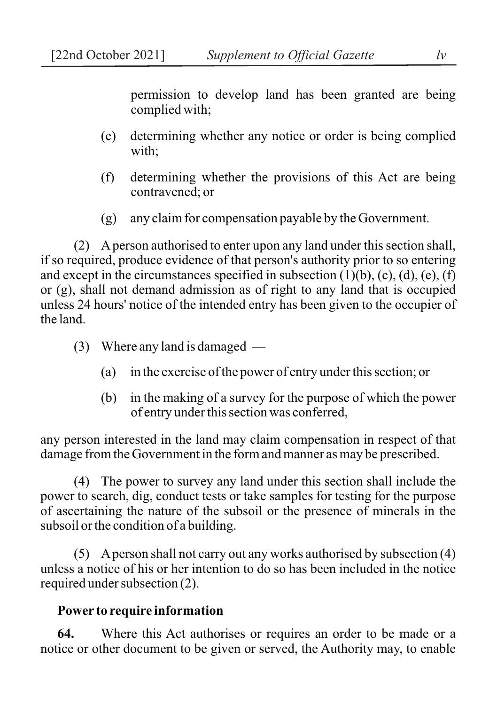permission to develop land has been granted are being complied with;

- (e) determining whether any notice or order is being complied with;
- (f) determining whether the provisions of this Act are being contravened; or
- (g) any claim for compensation payable by the Government.

(2) A person authorised to enter upon any land under this section shall, if so required, produce evidence of that person's authority prior to so entering and except in the circumstances specified in subsection  $(1)(b)$ ,  $(c)$ ,  $(d)$ ,  $(e)$ ,  $(f)$ or (g), shall not demand admission as of right to any land that is occupied unless 24 hours' notice of the intended entry has been given to the occupier of the land.

- (3) Where any land is damaged
	- (a) in the exercise of the power of entry under this section; or
	- (b) in the making of a survey for the purpose of which the power of entry under this section was conferred,

any person interested in the land may claim compensation in respect of that damage from the Government in the form and manner as may be prescribed.

(4) The power to survey any land under this section shall include the power to search, dig, conduct tests or take samples for testing for the purpose of ascertaining the nature of the subsoil or the presence of minerals in the subsoil or the condition of a building.

(5) A person shall not carry out any works authorised by subsection (4) unless a notice of his or her intention to do so has been included in the notice required under subsection (2).

### **Power to require information**

**64.** Where this Act authorises or requires an order to be made or a notice or other document to be given or served, the Authority may, to enable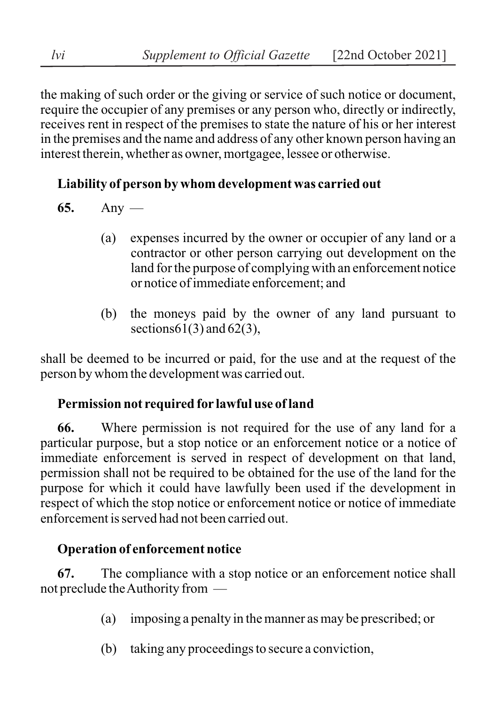the making of such order or the giving or service of such notice or document, require the occupier of any premises or any person who, directly or indirectly, receives rent in respect of the premises to state the nature of his or her interest in the premises and the name and address of any other known person having an interest therein, whether as owner, mortgagee, lessee or otherwise.

# **Liability of person by whom development was carried out**

**65.** Any —

- (a) expenses incurred by the owner or occupier of any land or a contractor or other person carrying out development on the land for the purpose of complying with an enforcement notice or notice of immediate enforcement; and
- (b) the moneys paid by the owner of any land pursuant to sections  $61(3)$  and  $62(3)$ ,

shall be deemed to be incurred or paid, for the use and at the request of the person by whom the development was carried out.

# **Permission not required for lawful use of land**

**66.** Where permission is not required for the use of any land for a particular purpose, but a stop notice or an enforcement notice or a notice of immediate enforcement is served in respect of development on that land, permission shall not be required to be obtained for the use of the land for the purpose for which it could have lawfully been used if the development in respect of which the stop notice or enforcement notice or notice of immediate enforcement is served had not been carried out.

# **Operation of enforcement notice**

**67.** The compliance with a stop notice or an enforcement notice shall not preclude the Authority from —

- (a) imposing a penalty in the manner as may be prescribed; or
- (b) taking any proceedings to secure a conviction,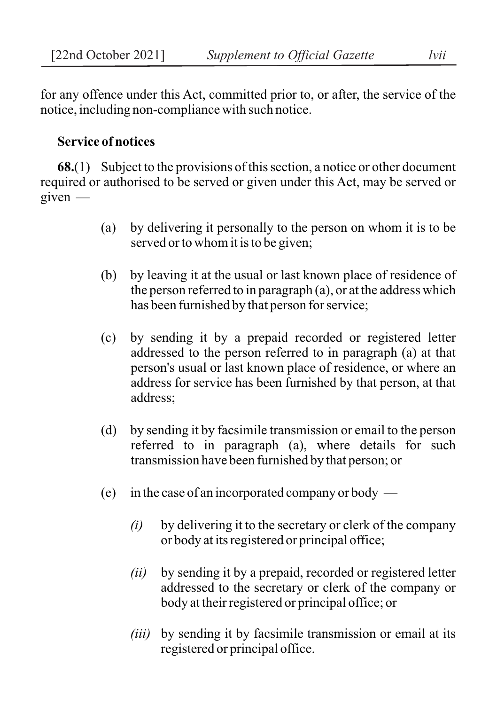for any offence under this Act, committed prior to, or after, the service of the notice, including non-compliance with such notice.

### **Service of notices**

**68.**(1) Subject to the provisions of this section, a notice or other document required or authorised to be served or given under this Act, may be served or given —

- (a) by delivering it personally to the person on whom it is to be served or to whom it is to be given;
- (b) by leaving it at the usual or last known place of residence of the person referred to in paragraph (a), or at the address which has been furnished by that person for service;
- (c) by sending it by a prepaid recorded or registered letter addressed to the person referred to in paragraph (a) at that person's usual or last known place of residence, or where an address for service has been furnished by that person, at that address;
- (d) by sending it by facsimile transmission or email to the person referred to in paragraph (a), where details for such transmission have been furnished by that person; or
- (e) in the case of an incorporated company or body
	- *(i)* by delivering it to the secretary or clerk of the company or body at its registered or principal office;
	- *(ii)* by sending it by a prepaid, recorded or registered letter addressed to the secretary or clerk of the company or body at their registered or principal office; or
	- *(iii)* by sending it by facsimile transmission or email at its registered or principal office.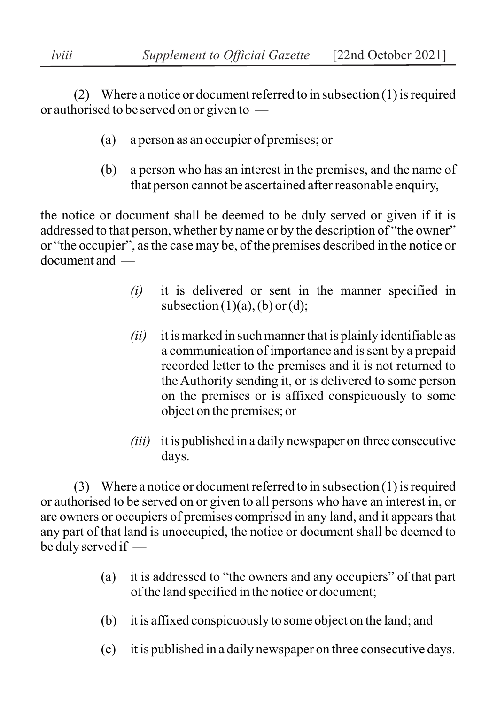(2) Where a notice or document referred to in subsection (1) is required or authorised to be served on or given to —

- (a) a person as an occupier of premises; or
- (b) a person who has an interest in the premises, and the name of that person cannot be ascertained after reasonable enquiry,

the notice or document shall be deemed to be duly served or given if it is addressed to that person, whether by name or by the description of "the owner" or "the occupier", as the case may be, of the premises described in the notice or document and —

- *(i)* it is delivered or sent in the manner specified in subsection  $(1)(a)$ ,  $(b)$  or  $(d)$ ;
- *(ii)* it is marked in such manner that is plainly identifiable as a communication of importance and is sent by a prepaid recorded letter to the premises and it is not returned to the Authority sending it, or is delivered to some person on the premises or is affixed conspicuously to some object on the premises; or
- *(iii)* it is published in a daily newspaper on three consecutive days.

(3) Where a notice or document referred to in subsection (1) is required or authorised to be served on or given to all persons who have an interest in, or are owners or occupiers of premises comprised in any land, and it appears that any part of that land is unoccupied, the notice or document shall be deemed to be duly served if —

- (a) it is addressed to "the owners and any occupiers" of that part of the land specified in the notice or document;
- (b) it is affixed conspicuously to some object on the land; and
- (c) it is published in a daily newspaper on three consecutive days.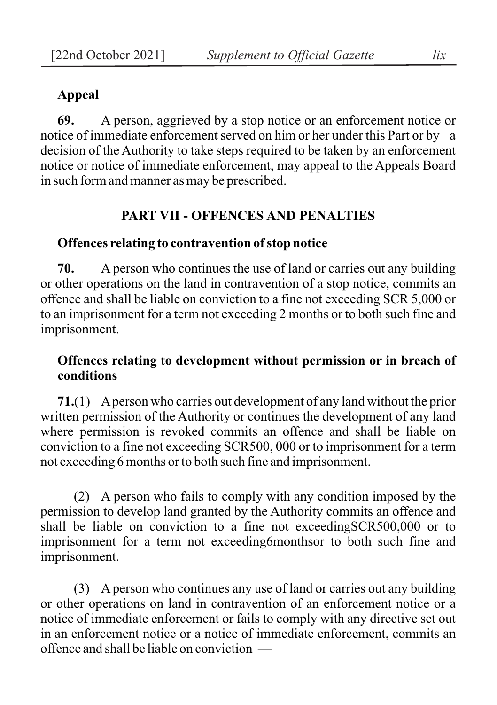### **Appeal**

**69.** A person, aggrieved by a stop notice or an enforcement notice or notice of immediate enforcement served on him or her under this Part or by a decision of the Authority to take steps required to be taken by an enforcement notice or notice of immediate enforcement, may appeal to the Appeals Board in such form and manner as may be prescribed.

#### **PART VII - OFFENCES AND PENALTIES**

#### **Offences relating to contravention of stop notice**

**70.** A person who continues the use of land or carries out any building or other operations on the land in contravention of a stop notice, commits an offence and shall be liable on conviction to a fine not exceeding SCR 5,000 or to an imprisonment for a term not exceeding 2 months or to both such fine and imprisonment.

### **Offences relating to development without permission or in breach of conditions**

**71.**(1) A person who carries out development of any land without the prior written permission of the Authority or continues the development of any land where permission is revoked commits an offence and shall be liable on conviction to a fine not exceeding SCR500, 000 or to imprisonment for a term not exceeding 6 months or to both such fine and imprisonment.

(2) A person who fails to comply with any condition imposed by the permission to develop land granted by the Authority commits an offence and shall be liable on conviction to a fine not exceedingSCR500,000 or to imprisonment for a term not exceeding6monthsor to both such fine and imprisonment.

(3) A person who continues any use of land or carries out any building or other operations on land in contravention of an enforcement notice or a notice of immediate enforcement or fails to comply with any directive set out in an enforcement notice or a notice of immediate enforcement, commits an offence and shall be liable on conviction —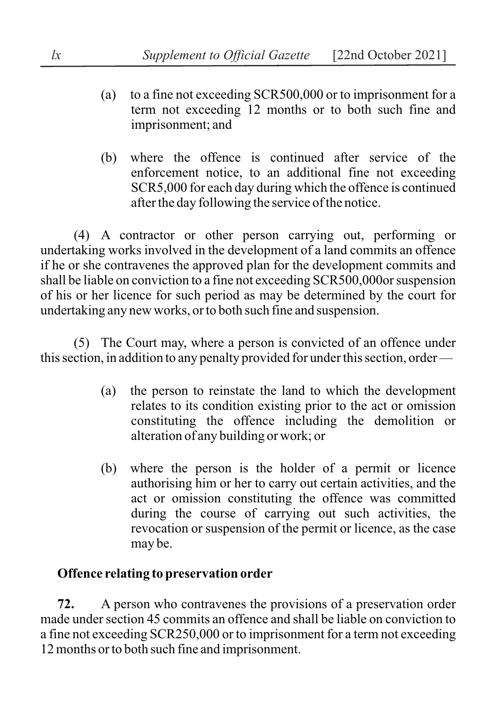- (a) to a fine not exceeding SCR500,000 or to imprisonment for a term not exceeding 12 months or to both such fine and imprisonment; and
- (b) where the offence is continued after service of the enforcement notice, to an additional fine not exceeding SCR5,000 for each day during which the offence is continued after the day following the service of the notice.

(4) A contractor or other person carrying out, performing or undertaking works involved in the development of a land commits an offence if he or she contravenes the approved plan for the development commits and shall be liable on conviction to a fine not exceeding SCR500,000or suspension of his or her licence for such period as may be determined by the court for undertaking any new works, or to both such fine and suspension.

(5) The Court may, where a person is convicted of an offence under this section, in addition to any penalty provided for under this section, order —

- (a) the person to reinstate the land to which the development relates to its condition existing prior to the act or omission constituting the offence including the demolition or alteration of any building or work; or
- (b) where the person is the holder of a permit or licence authorising him or her to carry out certain activities, and the act or omission constituting the offence was committed during the course of carrying out such activities, the revocation or suspension of the permit or licence, as the case may be.

# **Offence relating to preservation order**

**72.** A person who contravenes the provisions of a preservation order made under section 45 commits an offence and shall be liable on conviction to a fine not exceeding SCR250,000 or to imprisonment for a term not exceeding 12 months or to both such fine and imprisonment.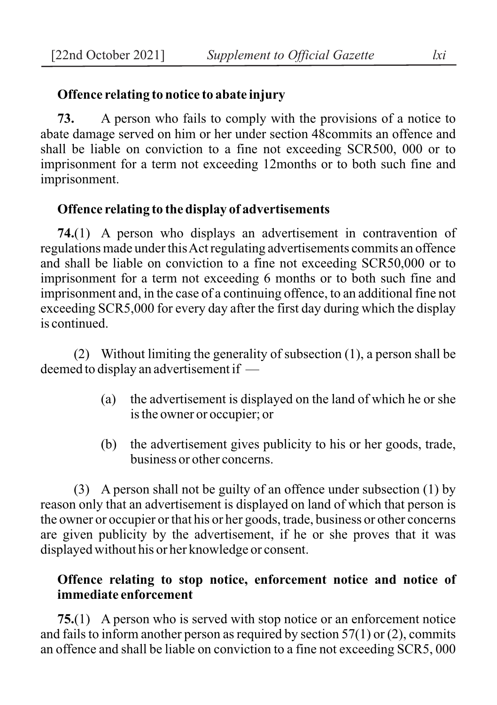### **Offence relating to notice to abate injury**

**73.** A person who fails to comply with the provisions of a notice to abate damage served on him or her under section 48commits an offence and shall be liable on conviction to a fine not exceeding SCR500, 000 or to imprisonment for a term not exceeding 12months or to both such fine and imprisonment.

### **Offence relating to the display of advertisements**

**74.**(1) A person who displays an advertisement in contravention of regulations made under this Act regulating advertisements commits an offence and shall be liable on conviction to a fine not exceeding SCR50,000 or to imprisonment for a term not exceeding 6 months or to both such fine and imprisonment and, in the case of a continuing offence, to an additional fine not exceeding SCR5,000 for every day after the first day during which the display is continued.

(2) Without limiting the generality of subsection (1), a person shall be deemed to display an advertisement if —

- (a) the advertisement is displayed on the land of which he or she is the owner or occupier; or
- (b) the advertisement gives publicity to his or her goods, trade, business or other concerns.

(3) A person shall not be guilty of an offence under subsection (1) by reason only that an advertisement is displayed on land of which that person is the owner or occupier or that his or her goods, trade, business or other concerns are given publicity by the advertisement, if he or she proves that it was displayed without his or her knowledge or consent.

## **Offence relating to stop notice, enforcement notice and notice of immediate enforcement**

**75.**(1) A person who is served with stop notice or an enforcement notice and fails to inform another person as required by section  $57(1)$  or (2), commits an offence and shall be liable on conviction to a fine not exceeding SCR5, 000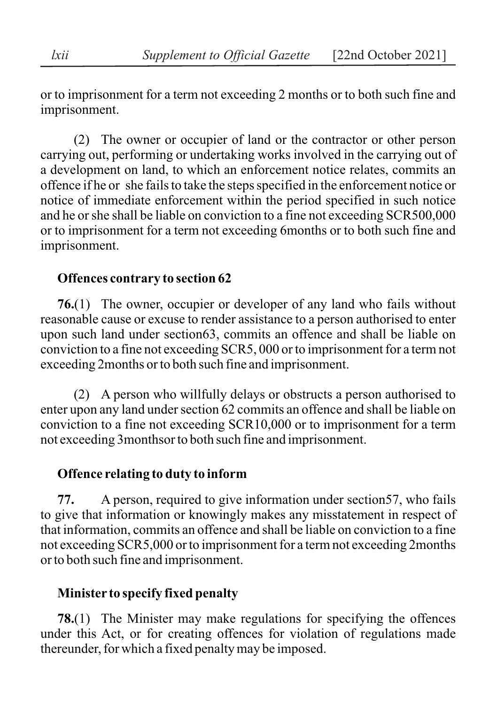or to imprisonment for a term not exceeding 2 months or to both such fine and imprisonment.

(2) The owner or occupier of land or the contractor or other person carrying out, performing or undertaking works involved in the carrying out of a development on land, to which an enforcement notice relates, commits an offence if he or she fails to take the steps specified in the enforcement notice or notice of immediate enforcement within the period specified in such notice and he or she shall be liable on conviction to a fine not exceeding SCR500,000 or to imprisonment for a term not exceeding 6months or to both such fine and imprisonment.

## **Offences contrary to section 62**

**76.**(1) The owner, occupier or developer of any land who fails without reasonable cause or excuse to render assistance to a person authorised to enter upon such land under section63, commits an offence and shall be liable on conviction to a fine not exceeding SCR5, 000 or to imprisonment for a term not exceeding 2months or to both such fine and imprisonment.

(2) A person who willfully delays or obstructs a person authorised to enter upon any land under section 62 commits an offence and shall be liable on conviction to a fine not exceeding SCR10,000 or to imprisonment for a term not exceeding 3monthsor to both such fine and imprisonment.

## **Offence relating to duty to inform**

**77.** A person, required to give information under section57, who fails to give that information or knowingly makes any misstatement in respect of that information, commits an offence and shall be liable on conviction to a fine not exceeding SCR5,000 or to imprisonment for a term not exceeding 2months or to both such fine and imprisonment.

# **Minister to specify fixed penalty**

**78.**(1) The Minister may make regulations for specifying the offences under this Act, or for creating offences for violation of regulations made thereunder, for which a fixed penalty may be imposed.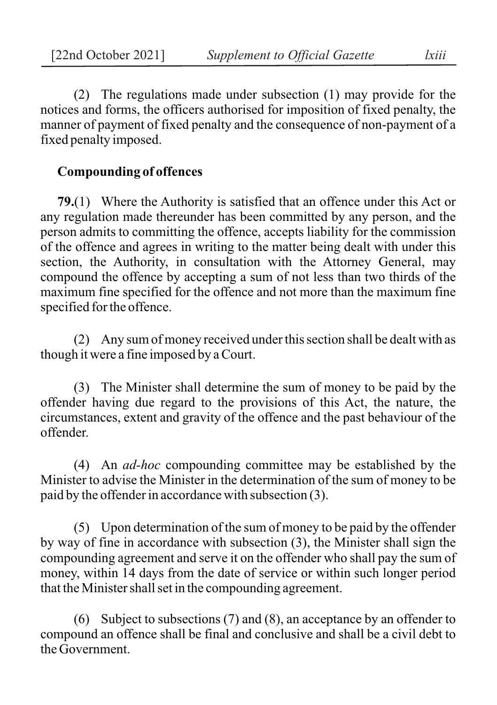(2) The regulations made under subsection (1) may provide for the notices and forms, the officers authorised for imposition of fixed penalty, the manner of payment of fixed penalty and the consequence of non-payment of a fixed penalty imposed.

### **Compounding of offences**

**79.**(1) Where the Authority is satisfied that an offence under this Act or any regulation made thereunder has been committed by any person, and the person admits to committing the offence, accepts liability for the commission of the offence and agrees in writing to the matter being dealt with under this section, the Authority, in consultation with the Attorney General, may compound the offence by accepting a sum of not less than two thirds of the maximum fine specified for the offence and not more than the maximum fine specified for the offence.

(2) Any sum of money received under this section shall be dealt with as though it were a fine imposed by a Court.

(3) The Minister shall determine the sum of money to be paid by the offender having due regard to the provisions of this Act, the nature, the circumstances, extent and gravity of the offence and the past behaviour of the offender.

(4) An *ad-hoc* compounding committee may be established by the Minister to advise the Minister in the determination of the sum of money to be paid by the offender in accordance with subsection (3).

(5) Upon determination of the sum of money to be paid by the offender by way of fine in accordance with subsection (3), the Minister shall sign the compounding agreement and serve it on the offender who shall pay the sum of money, within 14 days from the date of service or within such longer period that the Minister shall set in the compounding agreement.

(6) Subject to subsections (7) and (8), an acceptance by an offender to compound an offence shall be final and conclusive and shall be a civil debt to the Government.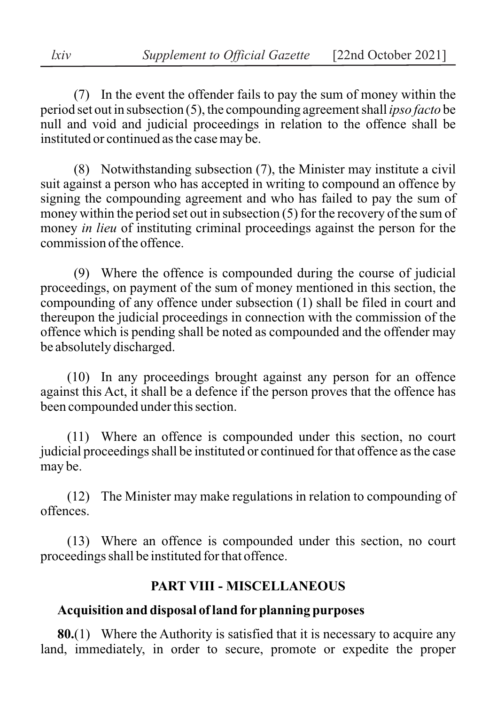(7) In the event the offender fails to pay the sum of money within the period set out in subsection (5), the compounding agreement shall *ipso facto* be null and void and judicial proceedings in relation to the offence shall be instituted or continued as the case may be.

(8) Notwithstanding subsection (7), the Minister may institute a civil suit against a person who has accepted in writing to compound an offence by signing the compounding agreement and who has failed to pay the sum of money within the period set out in subsection (5) for the recovery of the sum of money *in lieu* of instituting criminal proceedings against the person for the commission of the offence.

(9) Where the offence is compounded during the course of judicial proceedings, on payment of the sum of money mentioned in this section, the compounding of any offence under subsection (1) shall be filed in court and thereupon the judicial proceedings in connection with the commission of the offence which is pending shall be noted as compounded and the offender may be absolutely discharged.

(10) In any proceedings brought against any person for an offence against this Act, it shall be a defence if the person proves that the offence has been compounded under this section.

(11) Where an offence is compounded under this section, no court judicial proceedings shall be instituted or continued for that offence as the case may be.

(12) The Minister may make regulations in relation to compounding of offences.

(13) Where an offence is compounded under this section, no court proceedings shall be instituted for that offence.

### **PART VIII - MISCELLANEOUS**

## **Acquisition and disposal of land for planning purposes**

**80.**(1) Where the Authority is satisfied that it is necessary to acquire any land, immediately, in order to secure, promote or expedite the proper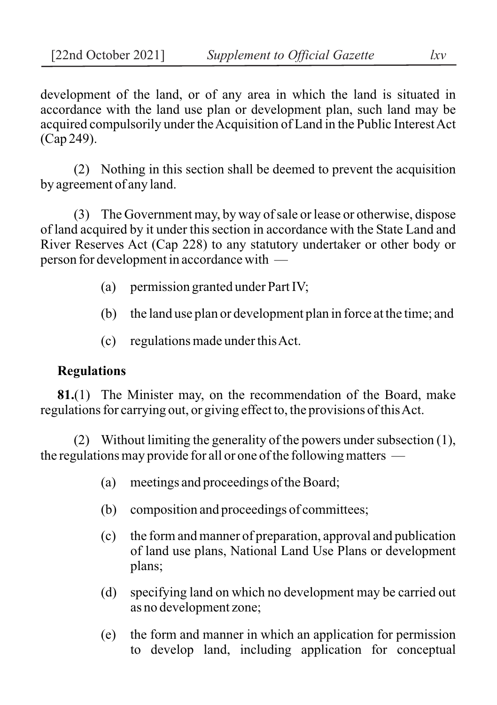development of the land, or of any area in which the land is situated in accordance with the land use plan or development plan, such land may be acquired compulsorily under the Acquisition of Land in the Public Interest Act (Cap 249).

(2) Nothing in this section shall be deemed to prevent the acquisition by agreement of any land.

(3) The Government may, by way of sale or lease or otherwise, dispose of land acquired by it under this section in accordance with the State Land and River Reserves Act (Cap 228) to any statutory undertaker or other body or person for development in accordance with —

- (a) permission granted under Part IV;
- (b) the land use plan or development plan in force at the time; and
- (c) regulations made under this Act.

### **Regulations**

**81.**(1) The Minister may, on the recommendation of the Board, make regulations for carrying out, or giving effect to, the provisions of this Act.

(2) Without limiting the generality of the powers under subsection (1), the regulations may provide for all or one of the following matters —

- (a) meetings and proceedings of the Board;
- (b) composition and proceedings of committees;
- (c) the form and manner of preparation, approval and publication of land use plans, National Land Use Plans or development plans;
- (d) specifying land on which no development may be carried out as no development zone;
- (e) the form and manner in which an application for permission to develop land, including application for conceptual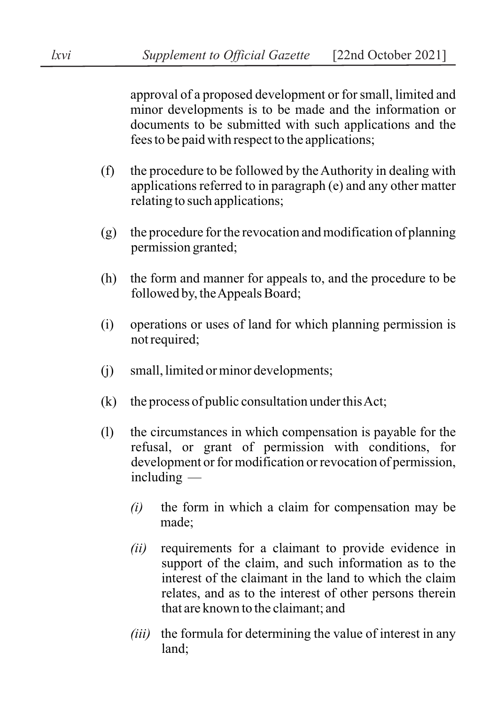approval of a proposed development or for small, limited and minor developments is to be made and the information or documents to be submitted with such applications and the fees to be paid with respect to the applications;

- (f) the procedure to be followed by the Authority in dealing with applications referred to in paragraph (e) and any other matter relating to such applications;
- (g) the procedure for the revocation and modification of planning permission granted;
- (h) the form and manner for appeals to, and the procedure to be followed by, the Appeals Board;
- (i) operations or uses of land for which planning permission is not required;
- (j) small, limited or minor developments;
- (k) the process of public consultation under this Act;
- (l) the circumstances in which compensation is payable for the refusal, or grant of permission with conditions, for development or for modification or revocation of permission, including —
	- *(i)* the form in which a claim for compensation may be made;
	- *(ii)* requirements for a claimant to provide evidence in support of the claim, and such information as to the interest of the claimant in the land to which the claim relates, and as to the interest of other persons therein that are known to the claimant; and
	- *(iii)* the formula for determining the value of interest in any land;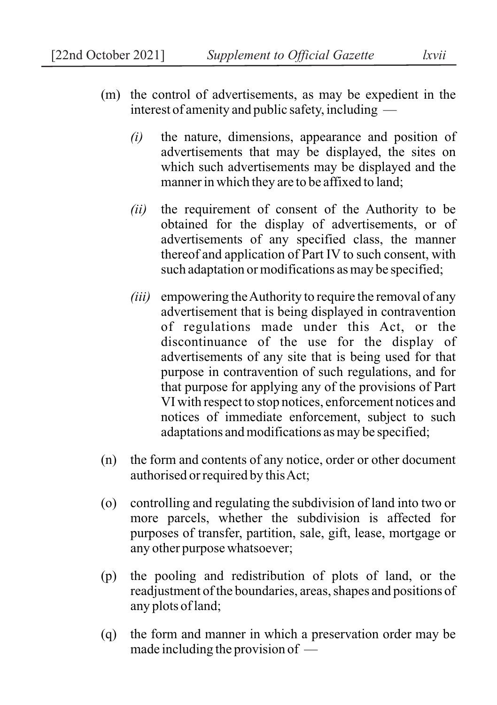- (m) the control of advertisements, as may be expedient in the interest of amenity and public safety, including —
	- *(i)* the nature, dimensions, appearance and position of advertisements that may be displayed, the sites on which such advertisements may be displayed and the manner in which they are to be affixed to land;
	- *(ii)* the requirement of consent of the Authority to be obtained for the display of advertisements, or of advertisements of any specified class, the manner thereof and application of Part IV to such consent, with such adaptation or modifications as may be specified;
	- *(iii)* empowering the Authority to require the removal of any advertisement that is being displayed in contravention of regulations made under this Act, or the discontinuance of the use for the display of advertisements of any site that is being used for that purpose in contravention of such regulations, and for that purpose for applying any of the provisions of Part VI with respect to stop notices, enforcement notices and notices of immediate enforcement, subject to such adaptations and modifications as may be specified;
- (n) the form and contents of any notice, order or other document authorised or required by this Act;
- (o) controlling and regulating the subdivision of land into two or more parcels, whether the subdivision is affected for purposes of transfer, partition, sale, gift, lease, mortgage or any other purpose whatsoever;
- (p) the pooling and redistribution of plots of land, or the readjustment of the boundaries, areas, shapes and positions of any plots of land;
- (q) the form and manner in which a preservation order may be made including the provision of —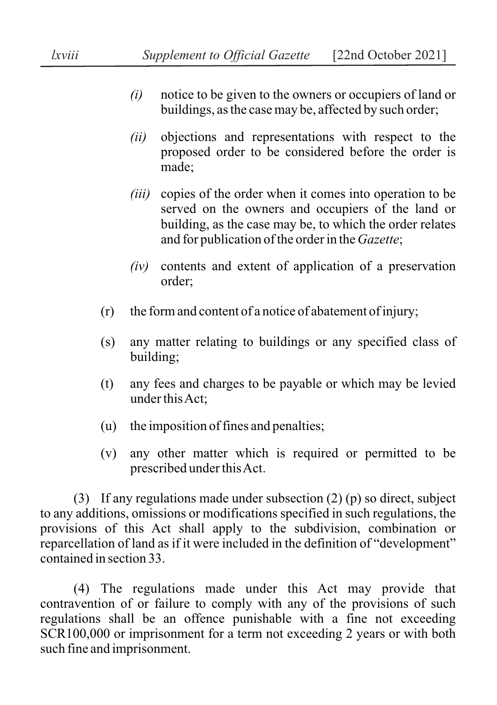- *(i)* notice to be given to the owners or occupiers of land or buildings, as the case may be, affected by such order;
- *(ii)* objections and representations with respect to the proposed order to be considered before the order is made;
- *(iii)* copies of the order when it comes into operation to be served on the owners and occupiers of the land or building, as the case may be, to which the order relates and for publication of the order in the *Gazette*;
- *(iv)* contents and extent of application of a preservation order;
- (r) the form and content of a notice of abatement of injury;
- (s) any matter relating to buildings or any specified class of building;
- (t) any fees and charges to be payable or which may be levied under this Act;
- (u) the imposition of fines and penalties;
- (v) any other matter which is required or permitted to be prescribed under this Act.

(3) If any regulations made under subsection (2) (p) so direct, subject to any additions, omissions or modifications specified in such regulations, the provisions of this Act shall apply to the subdivision, combination or reparcellation of land as if it were included in the definition of "development" contained in section 33.

(4) The regulations made under this Act may provide that contravention of or failure to comply with any of the provisions of such regulations shall be an offence punishable with a fine not exceeding SCR100,000 or imprisonment for a term not exceeding 2 years or with both such fine and imprisonment.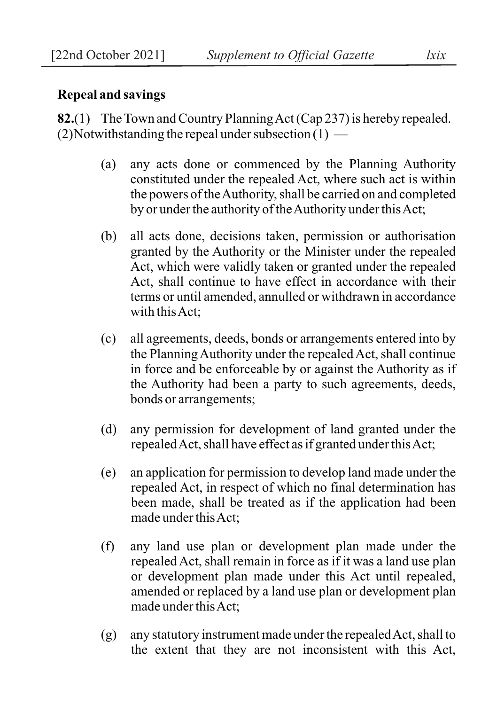### **Repeal and savings**

**82.**(1) The Town and Country Planning Act (Cap 237) is hereby repealed.  $(2)$ Notwithstanding the repeal under subsection  $(1)$  —

- (a) any acts done or commenced by the Planning Authority constituted under the repealed Act, where such act is within the powers of the Authority, shall be carried on and completed by or under the authority of the Authority under this Act;
- (b) all acts done, decisions taken, permission or authorisation granted by the Authority or the Minister under the repealed Act, which were validly taken or granted under the repealed Act, shall continue to have effect in accordance with their terms or until amended, annulled or withdrawn in accordance with this Act;
- (c) all agreements, deeds, bonds or arrangements entered into by the Planning Authority under the repealed Act, shall continue in force and be enforceable by or against the Authority as if the Authority had been a party to such agreements, deeds, bonds or arrangements;
- (d) any permission for development of land granted under the repealed Act, shall have effect as if granted under this Act;
- (e) an application for permission to develop land made under the repealed Act, in respect of which no final determination has been made, shall be treated as if the application had been made under this Act;
- (f) any land use plan or development plan made under the repealed Act, shall remain in force as if it was a land use plan or development plan made under this Act until repealed, amended or replaced by a land use plan or development plan made under this Act;
- (g) any statutory instrument made under the repealed Act, shall to the extent that they are not inconsistent with this Act,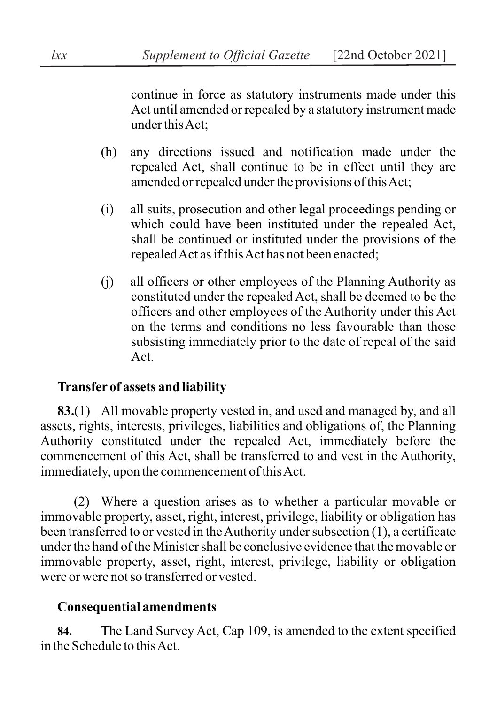continue in force as statutory instruments made under this Act until amended or repealed by a statutory instrument made under this Act;

- (h) any directions issued and notification made under the repealed Act, shall continue to be in effect until they are amended or repealed under the provisions of this Act;
- (i) all suits, prosecution and other legal proceedings pending or which could have been instituted under the repealed Act, shall be continued or instituted under the provisions of the repealed Act as if this Act has not been enacted;
- (j) all officers or other employees of the Planning Authority as constituted under the repealed Act, shall be deemed to be the officers and other employees of the Authority under this Act on the terms and conditions no less favourable than those subsisting immediately prior to the date of repeal of the said Act.

## **Transfer of assets and liability**

**83.**(1) All movable property vested in, and used and managed by, and all assets, rights, interests, privileges, liabilities and obligations of, the Planning Authority constituted under the repealed Act, immediately before the commencement of this Act, shall be transferred to and vest in the Authority, immediately, upon the commencement of this Act.

(2) Where a question arises as to whether a particular movable or immovable property, asset, right, interest, privilege, liability or obligation has been transferred to or vested in the Authority under subsection (1), a certificate under the hand of the Minister shall be conclusive evidence that the movable or immovable property, asset, right, interest, privilege, liability or obligation were or were not so transferred or vested.

# **Consequential amendments**

**84.** The Land Survey Act, Cap 109, is amended to the extent specified in the Schedule to this Act.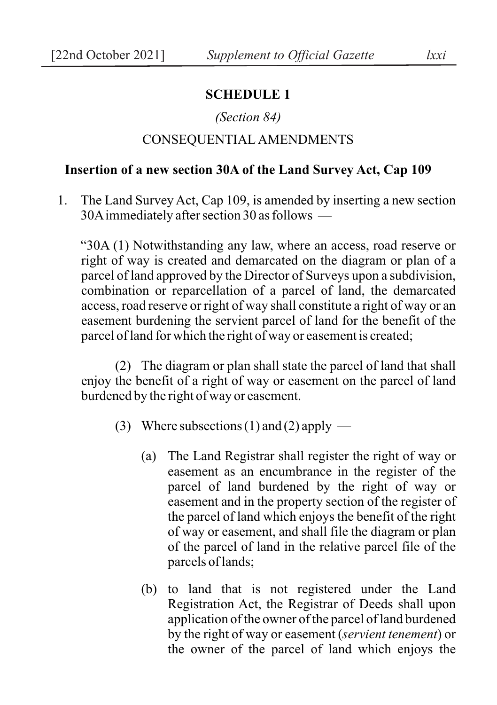### **SCHEDULE 1**

#### *(Section 84)*

### CONSEQUENTIAL AMENDMENTS

#### **Insertion of a new section 30A of the Land Survey Act, Cap 109**

1. The Land Survey Act, Cap 109, is amended by inserting a new section 30A immediately after section 30 as follows —

"30A (1) Notwithstanding any law, where an access, road reserve or right of way is created and demarcated on the diagram or plan of a parcel of land approved by the Director of Surveys upon a subdivision, combination or reparcellation of a parcel of land, the demarcated access, road reserve or right of way shall constitute a right of way or an easement burdening the servient parcel of land for the benefit of the parcel of land for which the right of way or easement is created;

(2) The diagram or plan shall state the parcel of land that shall enjoy the benefit of a right of way or easement on the parcel of land burdened by the right of way or easement.

- (3) Where subsections (1) and (2) apply  $-$ 
	- (a) The Land Registrar shall register the right of way or easement as an encumbrance in the register of the parcel of land burdened by the right of way or easement and in the property section of the register of the parcel of land which enjoys the benefit of the right of way or easement, and shall file the diagram or plan of the parcel of land in the relative parcel file of the parcels of lands;
	- (b) to land that is not registered under the Land Registration Act, the Registrar of Deeds shall upon application of the owner of the parcel of land burdened by the right of way or easement (*servient tenement*) or the owner of the parcel of land which enjoys the